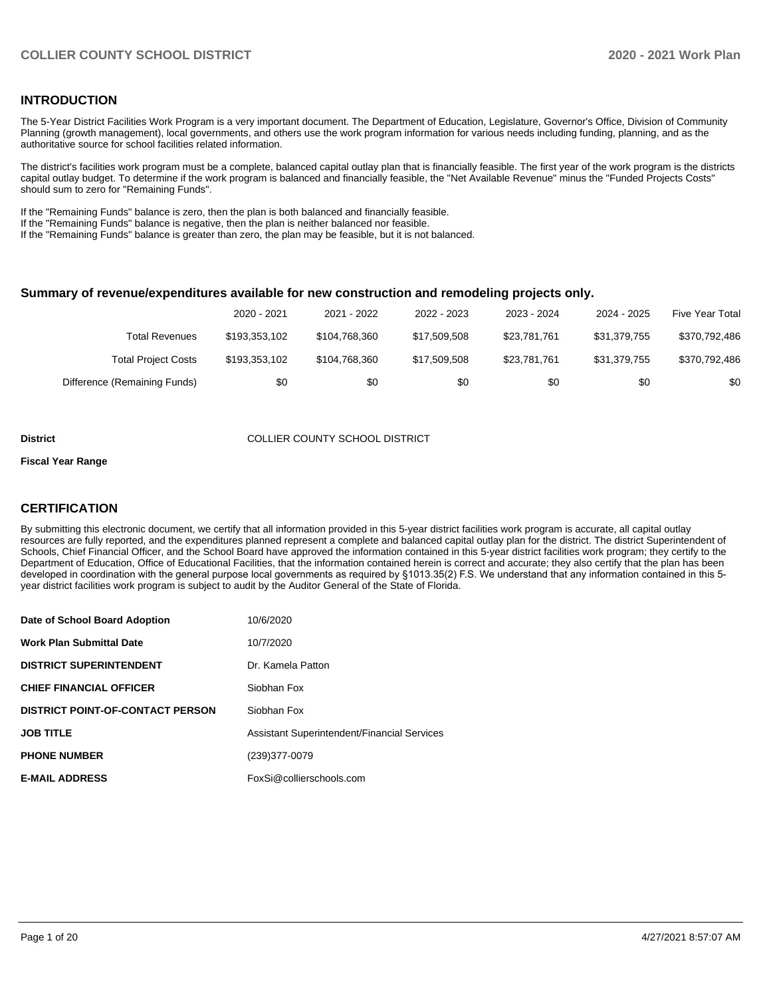## **INTRODUCTION**

The 5-Year District Facilities Work Program is a very important document. The Department of Education, Legislature, Governor's Office, Division of Community Planning (growth management), local governments, and others use the work program information for various needs including funding, planning, and as the authoritative source for school facilities related information.

The district's facilities work program must be a complete, balanced capital outlay plan that is financially feasible. The first year of the work program is the districts capital outlay budget. To determine if the work program is balanced and financially feasible, the "Net Available Revenue" minus the "Funded Projects Costs" should sum to zero for "Remaining Funds".

If the "Remaining Funds" balance is zero, then the plan is both balanced and financially feasible.

If the "Remaining Funds" balance is negative, then the plan is neither balanced nor feasible.

If the "Remaining Funds" balance is greater than zero, the plan may be feasible, but it is not balanced.

#### **Summary of revenue/expenditures available for new construction and remodeling projects only.**

|                              | 2020 - 2021   | 2021 - 2022   | 2022 - 2023  | 2023 - 2024  | 2024 - 2025  | Five Year Total |
|------------------------------|---------------|---------------|--------------|--------------|--------------|-----------------|
| Total Revenues               | \$193.353.102 | \$104.768.360 | \$17.509.508 | \$23.781.761 | \$31.379.755 | \$370,792,486   |
| <b>Total Project Costs</b>   | \$193.353.102 | \$104.768.360 | \$17.509.508 | \$23.781.761 | \$31.379.755 | \$370,792,486   |
| Difference (Remaining Funds) | \$0           | \$0           | \$0          | \$0          | \$0          | \$0             |

#### **District COLLIER COUNTY SCHOOL DISTRICT**

#### **Fiscal Year Range**

## **CERTIFICATION**

By submitting this electronic document, we certify that all information provided in this 5-year district facilities work program is accurate, all capital outlay resources are fully reported, and the expenditures planned represent a complete and balanced capital outlay plan for the district. The district Superintendent of Schools, Chief Financial Officer, and the School Board have approved the information contained in this 5-year district facilities work program; they certify to the Department of Education, Office of Educational Facilities, that the information contained herein is correct and accurate; they also certify that the plan has been developed in coordination with the general purpose local governments as required by §1013.35(2) F.S. We understand that any information contained in this 5 year district facilities work program is subject to audit by the Auditor General of the State of Florida.

| Date of School Board Adoption           | 10/6/2020                                          |
|-----------------------------------------|----------------------------------------------------|
| <b>Work Plan Submittal Date</b>         | 10/7/2020                                          |
| <b>DISTRICT SUPERINTENDENT</b>          | Dr. Kamela Patton                                  |
| <b>CHIEF FINANCIAL OFFICER</b>          | Siobhan Fox                                        |
| <b>DISTRICT POINT-OF-CONTACT PERSON</b> | Siobhan Fox                                        |
| <b>JOB TITLE</b>                        | <b>Assistant Superintendent/Financial Services</b> |
| <b>PHONE NUMBER</b>                     | (239) 377-0079                                     |
| <b>E-MAIL ADDRESS</b>                   | FoxSi@collierschools.com                           |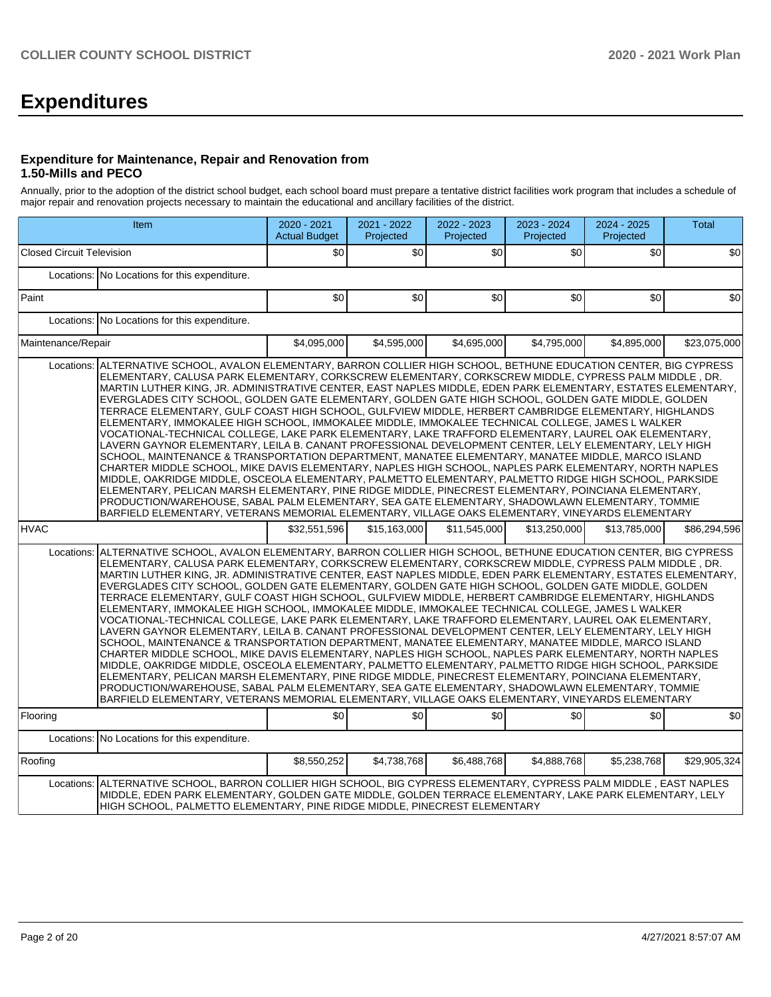# **Expenditures**

### **Expenditure for Maintenance, Repair and Renovation from 1.50-Mills and PECO**

Annually, prior to the adoption of the district school budget, each school board must prepare a tentative district facilities work program that includes a schedule of major repair and renovation projects necessary to maintain the educational and ancillary facilities of the district.

|                                  | Item                                                                                                                                                                                                                                                                                                                                                                                                                                                                                                                                                                                                                                                                                                                                                                                                                                                                                                                                                                                                                                                                                                                                                                                                                                                                                                                                                                                                                                                                                                         | 2020 - 2021<br><b>Actual Budget</b> | 2021 - 2022<br>Projected | 2022 - 2023<br>Projected | 2023 - 2024<br>Projected | 2024 - 2025<br>Projected | <b>Total</b> |
|----------------------------------|--------------------------------------------------------------------------------------------------------------------------------------------------------------------------------------------------------------------------------------------------------------------------------------------------------------------------------------------------------------------------------------------------------------------------------------------------------------------------------------------------------------------------------------------------------------------------------------------------------------------------------------------------------------------------------------------------------------------------------------------------------------------------------------------------------------------------------------------------------------------------------------------------------------------------------------------------------------------------------------------------------------------------------------------------------------------------------------------------------------------------------------------------------------------------------------------------------------------------------------------------------------------------------------------------------------------------------------------------------------------------------------------------------------------------------------------------------------------------------------------------------------|-------------------------------------|--------------------------|--------------------------|--------------------------|--------------------------|--------------|
| <b>Closed Circuit Television</b> |                                                                                                                                                                                                                                                                                                                                                                                                                                                                                                                                                                                                                                                                                                                                                                                                                                                                                                                                                                                                                                                                                                                                                                                                                                                                                                                                                                                                                                                                                                              | \$0                                 | \$0                      | \$0                      | \$0                      | \$0                      | \$0          |
|                                  | Locations: No Locations for this expenditure.                                                                                                                                                                                                                                                                                                                                                                                                                                                                                                                                                                                                                                                                                                                                                                                                                                                                                                                                                                                                                                                                                                                                                                                                                                                                                                                                                                                                                                                                |                                     |                          |                          |                          |                          |              |
| Paint                            |                                                                                                                                                                                                                                                                                                                                                                                                                                                                                                                                                                                                                                                                                                                                                                                                                                                                                                                                                                                                                                                                                                                                                                                                                                                                                                                                                                                                                                                                                                              | \$0                                 | \$0                      | \$0                      | \$0                      | \$0                      | \$0          |
|                                  | Locations: No Locations for this expenditure.                                                                                                                                                                                                                                                                                                                                                                                                                                                                                                                                                                                                                                                                                                                                                                                                                                                                                                                                                                                                                                                                                                                                                                                                                                                                                                                                                                                                                                                                |                                     |                          |                          |                          |                          |              |
| Maintenance/Repair               |                                                                                                                                                                                                                                                                                                                                                                                                                                                                                                                                                                                                                                                                                                                                                                                                                                                                                                                                                                                                                                                                                                                                                                                                                                                                                                                                                                                                                                                                                                              | \$4,095,000                         | \$4,595,000              | \$4,695,000              | \$4,795,000              | \$4,895,000              | \$23,075,000 |
| Locations:                       | ALTERNATIVE SCHOOL, AVALON ELEMENTARY, BARRON COLLIER HIGH SCHOOL, BETHUNE EDUCATION CENTER, BIG CYPRESS<br>ELEMENTARY, CALUSA PARK ELEMENTARY, CORKSCREW ELEMENTARY, CORKSCREW MIDDLE, CYPRESS PALM MIDDLE, DR.<br>MARTIN LUTHER KING, JR. ADMINISTRATIVE CENTER, EAST NAPLES MIDDLE, EDEN PARK ELEMENTARY, ESTATES ELEMENTARY,<br>EVERGLADES CITY SCHOOL, GOLDEN GATE ELEMENTARY, GOLDEN GATE HIGH SCHOOL, GOLDEN GATE MIDDLE, GOLDEN<br>TERRACE ELEMENTARY, GULF COAST HIGH SCHOOL, GULFVIEW MIDDLE, HERBERT CAMBRIDGE ELEMENTARY, HIGHLANDS<br>ELEMENTARY, IMMOKALEE HIGH SCHOOL, IMMOKALEE MIDDLE, IMMOKALEE TECHNICAL COLLEGE, JAMES L WALKER<br>VOCATIONAL-TECHNICAL COLLEGE, LAKE PARK ELEMENTARY, LAKE TRAFFORD ELEMENTARY, LAUREL OAK ELEMENTARY,<br>LAVERN GAYNOR ELEMENTARY, LEILA B. CANANT PROFESSIONAL DEVELOPMENT CENTER, LELY ELEMENTARY, LELY HIGH<br>SCHOOL, MAINTENANCE & TRANSPORTATION DEPARTMENT, MANATEE ELEMENTARY, MANATEE MIDDLE, MARCO ISLAND<br>CHARTER MIDDLE SCHOOL, MIKE DAVIS ELEMENTARY, NAPLES HIGH SCHOOL, NAPLES PARK ELEMENTARY, NORTH NAPLES<br>MIDDLE, OAKRIDGE MIDDLE, OSCEOLA ELEMENTARY, PALMETTO ELEMENTARY, PALMETTO RIDGE HIGH SCHOOL, PARKSIDE<br>ELEMENTARY, PELICAN MARSH ELEMENTARY, PINE RIDGE MIDDLE, PINECREST ELEMENTARY, POINCIANA ELEMENTARY,<br>PRODUCTION/WAREHOUSE, SABAL PALM ELEMENTARY, SEA GATE ELEMENTARY, SHADOWLAWN ELEMENTARY, TOMMIE<br>BARFIELD ELEMENTARY, VETERANS MEMORIAL ELEMENTARY, VILLAGE OAKS ELEMENTARY, VINEYARDS ELEMENTARY |                                     |                          |                          |                          |                          |              |
| <b>HVAC</b>                      |                                                                                                                                                                                                                                                                                                                                                                                                                                                                                                                                                                                                                                                                                                                                                                                                                                                                                                                                                                                                                                                                                                                                                                                                                                                                                                                                                                                                                                                                                                              | \$32,551,596                        | \$15,163,000             | \$11,545,000             | \$13,250,000             | \$13,785,000             | \$86,294,596 |
| Locations:                       | ALTERNATIVE SCHOOL, AVALON ELEMENTARY, BARRON COLLIER HIGH SCHOOL, BETHUNE EDUCATION CENTER, BIG CYPRESS<br>ELEMENTARY, CALUSA PARK ELEMENTARY, CORKSCREW ELEMENTARY, CORKSCREW MIDDLE, CYPRESS PALM MIDDLE, DR.<br>MARTIN LUTHER KING, JR. ADMINISTRATIVE CENTER, EAST NAPLES MIDDLE, EDEN PARK ELEMENTARY, ESTATES ELEMENTARY,<br>EVERGLADES CITY SCHOOL, GOLDEN GATE ELEMENTARY, GOLDEN GATE HIGH SCHOOL, GOLDEN GATE MIDDLE, GOLDEN<br>TERRACE ELEMENTARY, GULF COAST HIGH SCHOOL, GULFVIEW MIDDLE, HERBERT CAMBRIDGE ELEMENTARY, HIGHLANDS<br>ELEMENTARY, IMMOKALEE HIGH SCHOOL, IMMOKALEE MIDDLE, IMMOKALEE TECHNICAL COLLEGE, JAMES L WALKER<br>VOCATIONAL-TECHNICAL COLLEGE, LAKE PARK ELEMENTARY, LAKE TRAFFORD ELEMENTARY, LAUREL OAK ELEMENTARY,<br>LAVERN GAYNOR ELEMENTARY, LEILA B. CANANT PROFESSIONAL DEVELOPMENT CENTER, LELY ELEMENTARY, LELY HIGH<br>SCHOOL, MAINTENANCE & TRANSPORTATION DEPARTMENT, MANATEE ELEMENTARY, MANATEE MIDDLE, MARCO ISLAND<br>CHARTER MIDDLE SCHOOL, MIKE DAVIS ELEMENTARY, NAPLES HIGH SCHOOL, NAPLES PARK ELEMENTARY, NORTH NAPLES<br>MIDDLE, OAKRIDGE MIDDLE, OSCEOLA ELEMENTARY, PALMETTO ELEMENTARY, PALMETTO RIDGE HIGH SCHOOL, PARKSIDE<br>ELEMENTARY, PELICAN MARSH ELEMENTARY, PINE RIDGE MIDDLE, PINECREST ELEMENTARY, POINCIANA ELEMENTARY,<br>PRODUCTION/WAREHOUSE, SABAL PALM ELEMENTARY, SEA GATE ELEMENTARY, SHADOWLAWN ELEMENTARY, TOMMIE<br>BARFIELD ELEMENTARY, VETERANS MEMORIAL ELEMENTARY, VILLAGE OAKS ELEMENTARY, VINEYARDS ELEMENTARY |                                     |                          |                          |                          |                          |              |
| Flooring                         |                                                                                                                                                                                                                                                                                                                                                                                                                                                                                                                                                                                                                                                                                                                                                                                                                                                                                                                                                                                                                                                                                                                                                                                                                                                                                                                                                                                                                                                                                                              | \$0                                 | \$0                      | \$0                      | \$0                      | \$0                      | \$0          |
|                                  | Locations: No Locations for this expenditure.                                                                                                                                                                                                                                                                                                                                                                                                                                                                                                                                                                                                                                                                                                                                                                                                                                                                                                                                                                                                                                                                                                                                                                                                                                                                                                                                                                                                                                                                |                                     |                          |                          |                          |                          |              |
| Roofing                          |                                                                                                                                                                                                                                                                                                                                                                                                                                                                                                                                                                                                                                                                                                                                                                                                                                                                                                                                                                                                                                                                                                                                                                                                                                                                                                                                                                                                                                                                                                              | \$8,550,252                         | \$4,738,768              | \$6,488,768              | \$4,888,768              | \$5,238,768              | \$29,905,324 |
| Locations:                       | ALTERNATIVE SCHOOL, BARRON COLLIER HIGH SCHOOL, BIG CYPRESS ELEMENTARY, CYPRESS PALM MIDDLE, EAST NAPLES<br>MIDDLE, EDEN PARK ELEMENTARY, GOLDEN GATE MIDDLE, GOLDEN TERRACE ELEMENTARY, LAKE PARK ELEMENTARY, LELY<br>HIGH SCHOOL, PALMETTO ELEMENTARY, PINE RIDGE MIDDLE, PINECREST ELEMENTARY                                                                                                                                                                                                                                                                                                                                                                                                                                                                                                                                                                                                                                                                                                                                                                                                                                                                                                                                                                                                                                                                                                                                                                                                             |                                     |                          |                          |                          |                          |              |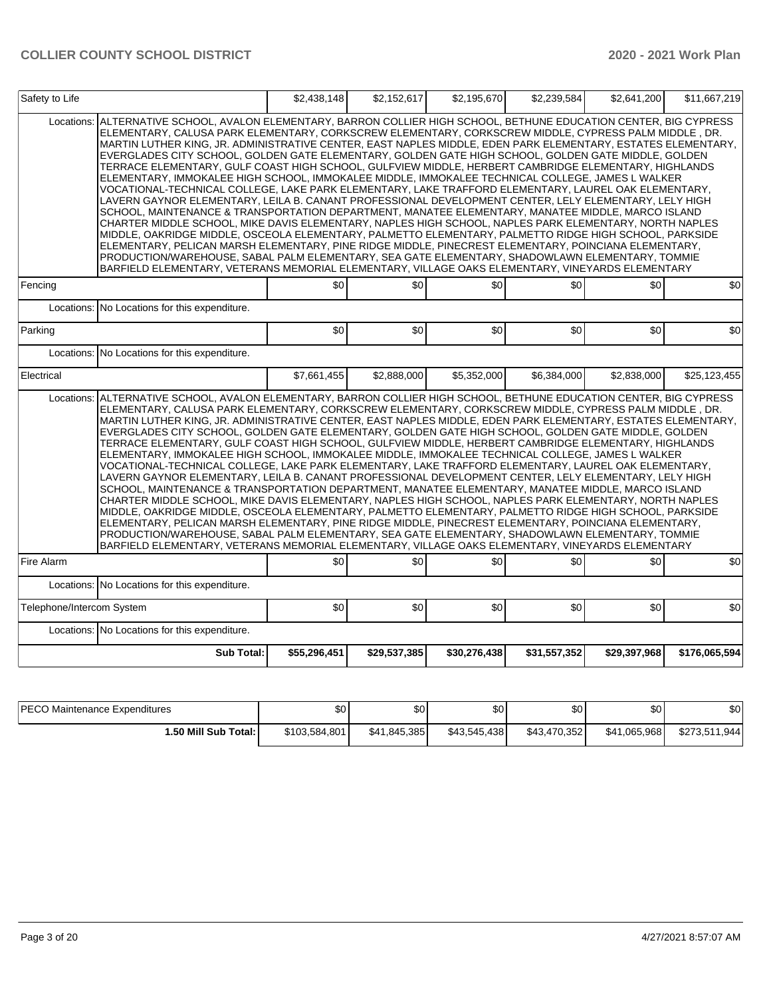| Safety to Life            |                                                                                                                                                                                                                                                                                                                                                                                                                                                                                                                                                                                                                                                                                                                                                                                                                                                                                                                                                                                                                                                                                                                                                                                                                                                                                                                                                                                                                                                                                                              | \$2,438,148  | \$2,152,617  | \$2,195,670  | \$2,239,584  | \$2,641,200  | \$11,667,219  |
|---------------------------|--------------------------------------------------------------------------------------------------------------------------------------------------------------------------------------------------------------------------------------------------------------------------------------------------------------------------------------------------------------------------------------------------------------------------------------------------------------------------------------------------------------------------------------------------------------------------------------------------------------------------------------------------------------------------------------------------------------------------------------------------------------------------------------------------------------------------------------------------------------------------------------------------------------------------------------------------------------------------------------------------------------------------------------------------------------------------------------------------------------------------------------------------------------------------------------------------------------------------------------------------------------------------------------------------------------------------------------------------------------------------------------------------------------------------------------------------------------------------------------------------------------|--------------|--------------|--------------|--------------|--------------|---------------|
| Locations:                | ALTERNATIVE SCHOOL, AVALON ELEMENTARY, BARRON COLLIER HIGH SCHOOL, BETHUNE EDUCATION CENTER, BIG CYPRESS<br>ELEMENTARY, CALUSA PARK ELEMENTARY, CORKSCREW ELEMENTARY, CORKSCREW MIDDLE, CYPRESS PALM MIDDLE, DR.<br>MARTIN LUTHER KING, JR. ADMINISTRATIVE CENTER, EAST NAPLES MIDDLE, EDEN PARK ELEMENTARY, ESTATES ELEMENTARY,<br>EVERGLADES CITY SCHOOL, GOLDEN GATE ELEMENTARY, GOLDEN GATE HIGH SCHOOL, GOLDEN GATE MIDDLE, GOLDEN<br>TERRACE ELEMENTARY, GULF COAST HIGH SCHOOL, GULFVIEW MIDDLE, HERBERT CAMBRIDGE ELEMENTARY, HIGHLANDS<br>ELEMENTARY, IMMOKALEE HIGH SCHOOL, IMMOKALEE MIDDLE, IMMOKALEE TECHNICAL COLLEGE, JAMES L WALKER<br>VOCATIONAL-TECHNICAL COLLEGE, LAKE PARK ELEMENTARY, LAKE TRAFFORD ELEMENTARY, LAUREL OAK ELEMENTARY,<br>LAVERN GAYNOR ELEMENTARY, LEILA B. CANANT PROFESSIONAL DEVELOPMENT CENTER, LELY ELEMENTARY, LELY HIGH<br>SCHOOL, MAINTENANCE & TRANSPORTATION DEPARTMENT, MANATEE ELEMENTARY, MANATEE MIDDLE, MARCO ISLAND<br>CHARTER MIDDLE SCHOOL, MIKE DAVIS ELEMENTARY, NAPLES HIGH SCHOOL, NAPLES PARK ELEMENTARY, NORTH NAPLES<br>MIDDLE, OAKRIDGE MIDDLE, OSCEOLA ELEMENTARY, PALMETTO ELEMENTARY, PALMETTO RIDGE HIGH SCHOOL, PARKSIDE<br>ELEMENTARY, PELICAN MARSH ELEMENTARY, PINE RIDGE MIDDLE, PINECREST ELEMENTARY, POINCIANA ELEMENTARY,<br>PRODUCTION/WAREHOUSE, SABAL PALM ELEMENTARY, SEA GATE ELEMENTARY, SHADOWLAWN ELEMENTARY, TOMMIE<br>BARFIELD ELEMENTARY, VETERANS MEMORIAL ELEMENTARY, VILLAGE OAKS ELEMENTARY, VINEYARDS ELEMENTARY |              |              |              |              |              |               |
| Fencing                   |                                                                                                                                                                                                                                                                                                                                                                                                                                                                                                                                                                                                                                                                                                                                                                                                                                                                                                                                                                                                                                                                                                                                                                                                                                                                                                                                                                                                                                                                                                              | \$0          | \$0          | \$0          | \$0          | \$0          | \$0           |
| Locations:                | No Locations for this expenditure.                                                                                                                                                                                                                                                                                                                                                                                                                                                                                                                                                                                                                                                                                                                                                                                                                                                                                                                                                                                                                                                                                                                                                                                                                                                                                                                                                                                                                                                                           |              |              |              |              |              |               |
| Parking                   |                                                                                                                                                                                                                                                                                                                                                                                                                                                                                                                                                                                                                                                                                                                                                                                                                                                                                                                                                                                                                                                                                                                                                                                                                                                                                                                                                                                                                                                                                                              | \$0          | \$0          | \$0          | \$0          | \$0          | \$0           |
|                           | Locations: No Locations for this expenditure.                                                                                                                                                                                                                                                                                                                                                                                                                                                                                                                                                                                                                                                                                                                                                                                                                                                                                                                                                                                                                                                                                                                                                                                                                                                                                                                                                                                                                                                                |              |              |              |              |              |               |
| Electrical                |                                                                                                                                                                                                                                                                                                                                                                                                                                                                                                                                                                                                                                                                                                                                                                                                                                                                                                                                                                                                                                                                                                                                                                                                                                                                                                                                                                                                                                                                                                              | \$7,661,455  | \$2,888,000  | \$5,352,000  | \$6,384,000  | \$2,838,000  | \$25,123,455  |
| Locations:                | ALTERNATIVE SCHOOL, AVALON ELEMENTARY, BARRON COLLIER HIGH SCHOOL, BETHUNE EDUCATION CENTER, BIG CYPRESS<br>ELEMENTARY, CALUSA PARK ELEMENTARY, CORKSCREW ELEMENTARY, CORKSCREW MIDDLE, CYPRESS PALM MIDDLE, DR.<br>MARTIN LUTHER KING, JR. ADMINISTRATIVE CENTER, EAST NAPLES MIDDLE, EDEN PARK ELEMENTARY, ESTATES ELEMENTARY,<br>EVERGLADES CITY SCHOOL, GOLDEN GATE ELEMENTARY, GOLDEN GATE HIGH SCHOOL, GOLDEN GATE MIDDLE, GOLDEN<br>TERRACE ELEMENTARY, GULF COAST HIGH SCHOOL, GULFVIEW MIDDLE, HERBERT CAMBRIDGE ELEMENTARY, HIGHLANDS<br>ELEMENTARY, IMMOKALEE HIGH SCHOOL, IMMOKALEE MIDDLE, IMMOKALEE TECHNICAL COLLEGE, JAMES L WALKER<br>VOCATIONAL-TECHNICAL COLLEGE, LAKE PARK ELEMENTARY, LAKE TRAFFORD ELEMENTARY, LAUREL OAK ELEMENTARY,<br>LAVERN GAYNOR ELEMENTARY, LEILA B. CANANT PROFESSIONAL DEVELOPMENT CENTER, LELY ELEMENTARY, LELY HIGH<br>SCHOOL, MAINTENANCE & TRANSPORTATION DEPARTMENT, MANATEE ELEMENTARY, MANATEE MIDDLE, MARCO ISLAND<br>CHARTER MIDDLE SCHOOL, MIKE DAVIS ELEMENTARY, NAPLES HIGH SCHOOL, NAPLES PARK ELEMENTARY, NORTH NAPLES<br>MIDDLE, OAKRIDGE MIDDLE, OSCEOLA ELEMENTARY, PALMETTO ELEMENTARY, PALMETTO RIDGE HIGH SCHOOL, PARKSIDE<br>ELEMENTARY, PELICAN MARSH ELEMENTARY, PINE RIDGE MIDDLE, PINECREST ELEMENTARY, POINCIANA ELEMENTARY,<br>PRODUCTION/WAREHOUSE, SABAL PALM ELEMENTARY, SEA GATE ELEMENTARY, SHADOWLAWN ELEMENTARY, TOMMIE<br>BARFIELD ELEMENTARY, VETERANS MEMORIAL ELEMENTARY, VILLAGE OAKS ELEMENTARY, VINEYARDS ELEMENTARY |              |              |              |              |              |               |
| <b>Fire Alarm</b>         |                                                                                                                                                                                                                                                                                                                                                                                                                                                                                                                                                                                                                                                                                                                                                                                                                                                                                                                                                                                                                                                                                                                                                                                                                                                                                                                                                                                                                                                                                                              | \$0          | \$0          | \$0          | \$0          | \$0          | \$0           |
|                           | Locations: No Locations for this expenditure.                                                                                                                                                                                                                                                                                                                                                                                                                                                                                                                                                                                                                                                                                                                                                                                                                                                                                                                                                                                                                                                                                                                                                                                                                                                                                                                                                                                                                                                                |              |              |              |              |              |               |
| Telephone/Intercom System |                                                                                                                                                                                                                                                                                                                                                                                                                                                                                                                                                                                                                                                                                                                                                                                                                                                                                                                                                                                                                                                                                                                                                                                                                                                                                                                                                                                                                                                                                                              | \$0          | \$0          | \$0          | \$0          | \$0          | \$0           |
|                           | Locations: No Locations for this expenditure.                                                                                                                                                                                                                                                                                                                                                                                                                                                                                                                                                                                                                                                                                                                                                                                                                                                                                                                                                                                                                                                                                                                                                                                                                                                                                                                                                                                                                                                                |              |              |              |              |              |               |
|                           | Sub Total:                                                                                                                                                                                                                                                                                                                                                                                                                                                                                                                                                                                                                                                                                                                                                                                                                                                                                                                                                                                                                                                                                                                                                                                                                                                                                                                                                                                                                                                                                                   | \$55,296,451 | \$29,537,385 | \$30,276,438 | \$31,557,352 | \$29,397,968 | \$176,065,594 |

| <b>PECO Maintenance Expenditures</b> | \$0           | \$0          | ሶሳ<br>υU     | \$0          | \$0          | ¢∩<br>JU      |
|--------------------------------------|---------------|--------------|--------------|--------------|--------------|---------------|
| 1.50 Mill Sub Total: I               | \$103,584,801 | \$41,845,385 | \$43.545.438 | \$43.470.352 | \$41,065,968 | \$273,511,944 |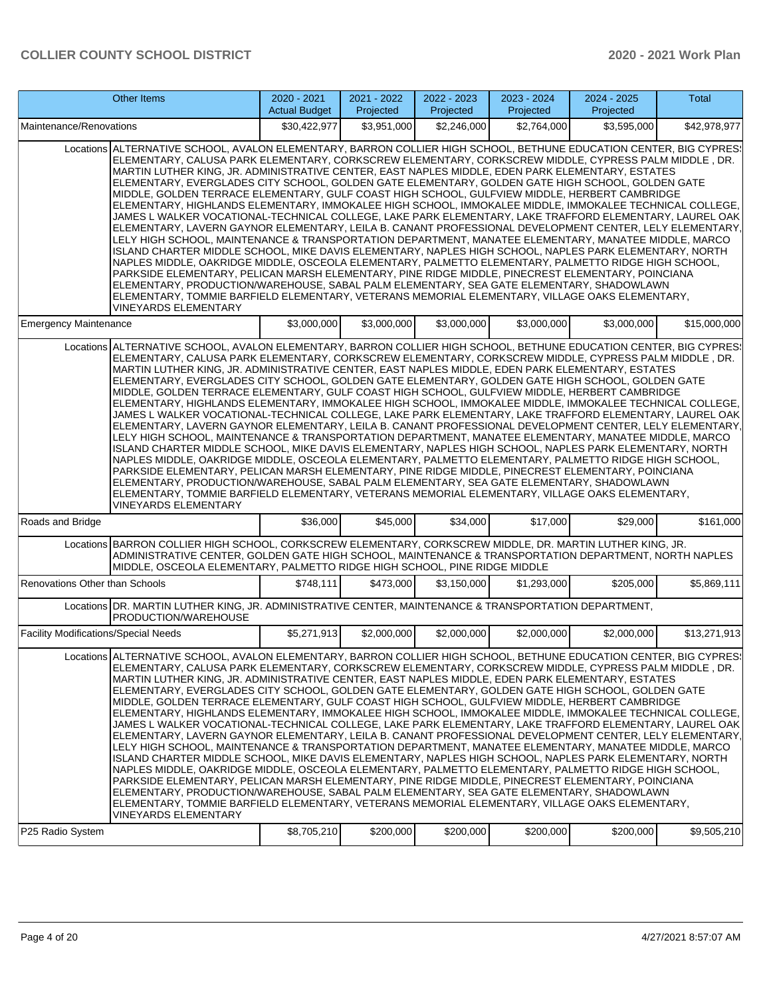|                                             | Other Items                                                                                                                                                                                                                                                                                                                                                                                                                                                                                                                                                                                                                                                                                                                                                                                                                                                                                                                                                                                                                                                                                                                                                                                                                                                                                                                                                                                                                                                                                                                      | 2020 - 2021<br><b>Actual Budget</b> | 2021 - 2022<br>Projected | 2022 - 2023<br>Projected | 2023 - 2024<br>Projected | 2024 - 2025<br>Projected | Total        |
|---------------------------------------------|----------------------------------------------------------------------------------------------------------------------------------------------------------------------------------------------------------------------------------------------------------------------------------------------------------------------------------------------------------------------------------------------------------------------------------------------------------------------------------------------------------------------------------------------------------------------------------------------------------------------------------------------------------------------------------------------------------------------------------------------------------------------------------------------------------------------------------------------------------------------------------------------------------------------------------------------------------------------------------------------------------------------------------------------------------------------------------------------------------------------------------------------------------------------------------------------------------------------------------------------------------------------------------------------------------------------------------------------------------------------------------------------------------------------------------------------------------------------------------------------------------------------------------|-------------------------------------|--------------------------|--------------------------|--------------------------|--------------------------|--------------|
| Maintenance/Renovations                     |                                                                                                                                                                                                                                                                                                                                                                                                                                                                                                                                                                                                                                                                                                                                                                                                                                                                                                                                                                                                                                                                                                                                                                                                                                                                                                                                                                                                                                                                                                                                  | \$30,422,977                        | \$3,951,000              | \$2,246,000              | \$2,764,000              | \$3,595,000              | \$42,978,977 |
|                                             | Locations ALTERNATIVE SCHOOL, AVALON ELEMENTARY, BARRON COLLIER HIGH SCHOOL, BETHUNE EDUCATION CENTER, BIG CYPRES!<br>ELEMENTARY, CALUSA PARK ELEMENTARY, CORKSCREW ELEMENTARY, CORKSCREW MIDDLE, CYPRESS PALM MIDDLE, DR.<br>MARTIN LUTHER KING, JR. ADMINISTRATIVE CENTER, EAST NAPLES MIDDLE, EDEN PARK ELEMENTARY, ESTATES<br>ELEMENTARY, EVERGLADES CITY SCHOOL, GOLDEN GATE ELEMENTARY, GOLDEN GATE HIGH SCHOOL, GOLDEN GATE<br>MIDDLE, GOLDEN TERRACE ELEMENTARY, GULF COAST HIGH SCHOOL, GULFVIEW MIDDLE, HERBERT CAMBRIDGE<br>ELEMENTARY, HIGHLANDS ELEMENTARY, IMMOKALEE HIGH SCHOOL, IMMOKALEE MIDDLE, IMMOKALEE TECHNICAL COLLEGE,<br>JAMES L WALKER VOCATIONAL-TECHNICAL COLLEGE, LAKE PARK ELEMENTARY, LAKE TRAFFORD ELEMENTARY, LAUREL OAK<br>ELEMENTARY, LAVERN GAYNOR ELEMENTARY, LEILA B. CANANT PROFESSIONAL DEVELOPMENT CENTER, LELY ELEMENTARY,<br>LELY HIGH SCHOOL, MAINTENANCE & TRANSPORTATION DEPARTMENT, MANATEE ELEMENTARY, MANATEE MIDDLE, MARCO<br>ISLAND CHARTER MIDDLE SCHOOL, MIKE DAVIS ELEMENTARY, NAPLES HIGH SCHOOL, NAPLES PARK ELEMENTARY, NORTH<br>NAPLES MIDDLE, OAKRIDGE MIDDLE, OSCEOLA ELEMENTARY, PALMETTO ELEMENTARY, PALMETTO RIDGE HIGH SCHOOL,<br>PARKSIDE ELEMENTARY, PELICAN MARSH ELEMENTARY, PINE RIDGE MIDDLE, PINECREST ELEMENTARY, POINCIANA<br>ELEMENTARY, PRODUCTION/WAREHOUSE, SABAL PALM ELEMENTARY, SEA GATE ELEMENTARY, SHADOWLAWN<br>ELEMENTARY, TOMMIE BARFIELD ELEMENTARY, VETERANS MEMORIAL ELEMENTARY, VILLAGE OAKS ELEMENTARY,<br><b>VINEYARDS ELEMENTARY</b> |                                     |                          |                          |                          |                          |              |
| <b>Emergency Maintenance</b>                |                                                                                                                                                                                                                                                                                                                                                                                                                                                                                                                                                                                                                                                                                                                                                                                                                                                                                                                                                                                                                                                                                                                                                                                                                                                                                                                                                                                                                                                                                                                                  | \$3,000,000                         | \$3,000,000              | \$3,000,000              | \$3,000,000              | \$3,000,000              | \$15,000,000 |
|                                             | Locations ALTERNATIVE SCHOOL, AVALON ELEMENTARY, BARRON COLLIER HIGH SCHOOL, BETHUNE EDUCATION CENTER, BIG CYPRES!<br>ELEMENTARY, CALUSA PARK ELEMENTARY, CORKSCREW ELEMENTARY, CORKSCREW MIDDLE, CYPRESS PALM MIDDLE, DR.<br>MARTIN LUTHER KING, JR. ADMINISTRATIVE CENTER, EAST NAPLES MIDDLE, EDEN PARK ELEMENTARY, ESTATES<br>ELEMENTARY, EVERGLADES CITY SCHOOL, GOLDEN GATE ELEMENTARY, GOLDEN GATE HIGH SCHOOL, GOLDEN GATE<br>MIDDLE, GOLDEN TERRACE ELEMENTARY, GULF COAST HIGH SCHOOL, GULFVIEW MIDDLE, HERBERT CAMBRIDGE<br>ELEMENTARY, HIGHLANDS ELEMENTARY, IMMOKALEE HIGH SCHOOL, IMMOKALEE MIDDLE, IMMOKALEE TECHNICAL COLLEGE.<br>JAMES L WALKER VOCATIONAL-TECHNICAL COLLEGE, LAKE PARK ELEMENTARY, LAKE TRAFFORD ELEMENTARY, LAUREL OAK<br>ELEMENTARY, LAVERN GAYNOR ELEMENTARY, LEILA B. CANANT PROFESSIONAL DEVELOPMENT CENTER, LELY ELEMENTARY,<br>LELY HIGH SCHOOL, MAINTENANCE & TRANSPORTATION DEPARTMENT, MANATEE ELEMENTARY, MANATEE MIDDLE, MARCO<br>ISLAND CHARTER MIDDLE SCHOOL, MIKE DAVIS ELEMENTARY, NAPLES HIGH SCHOOL, NAPLES PARK ELEMENTARY, NORTH<br>NAPLES MIDDLE, OAKRIDGE MIDDLE, OSCEOLA ELEMENTARY, PALMETTO ELEMENTARY, PALMETTO RIDGE HIGH SCHOOL,<br>PARKSIDE ELEMENTARY, PELICAN MARSH ELEMENTARY, PINE RIDGE MIDDLE, PINECREST ELEMENTARY, POINCIANA<br>ELEMENTARY, PRODUCTION/WAREHOUSE, SABAL PALM ELEMENTARY, SEA GATE ELEMENTARY, SHADOWLAWN<br>ELEMENTARY, TOMMIE BARFIELD ELEMENTARY, VETERANS MEMORIAL ELEMENTARY, VILLAGE OAKS ELEMENTARY,<br>VINEYARDS ELEMENTARY        |                                     |                          |                          |                          |                          |              |
| Roads and Bridge                            |                                                                                                                                                                                                                                                                                                                                                                                                                                                                                                                                                                                                                                                                                                                                                                                                                                                                                                                                                                                                                                                                                                                                                                                                                                                                                                                                                                                                                                                                                                                                  | \$36,000                            | \$45,000                 | \$34,000                 | \$17,000                 | \$29,000                 | \$161,000    |
|                                             | Locations BARRON COLLIER HIGH SCHOOL, CORKSCREW ELEMENTARY, CORKSCREW MIDDLE, DR. MARTIN LUTHER KING, JR.<br>ADMINISTRATIVE CENTER, GOLDEN GATE HIGH SCHOOL, MAINTENANCE & TRANSPORTATION DEPARTMENT, NORTH NAPLES<br>MIDDLE, OSCEOLA ELEMENTARY, PALMETTO RIDGE HIGH SCHOOL, PINE RIDGE MIDDLE                                                                                                                                                                                                                                                                                                                                                                                                                                                                                                                                                                                                                                                                                                                                                                                                                                                                                                                                                                                                                                                                                                                                                                                                                                  |                                     |                          |                          |                          |                          |              |
| Renovations Other than Schools              |                                                                                                                                                                                                                                                                                                                                                                                                                                                                                                                                                                                                                                                                                                                                                                                                                                                                                                                                                                                                                                                                                                                                                                                                                                                                                                                                                                                                                                                                                                                                  | \$748,111                           | \$473,000                | \$3,150,000              | \$1,293,000              | \$205,000                | \$5,869,111  |
|                                             | Locations DR. MARTIN LUTHER KING, JR. ADMINISTRATIVE CENTER, MAINTENANCE & TRANSPORTATION DEPARTMENT,<br>PRODUCTION/WAREHOUSE                                                                                                                                                                                                                                                                                                                                                                                                                                                                                                                                                                                                                                                                                                                                                                                                                                                                                                                                                                                                                                                                                                                                                                                                                                                                                                                                                                                                    |                                     |                          |                          |                          |                          |              |
| <b>Facility Modifications/Special Needs</b> |                                                                                                                                                                                                                                                                                                                                                                                                                                                                                                                                                                                                                                                                                                                                                                                                                                                                                                                                                                                                                                                                                                                                                                                                                                                                                                                                                                                                                                                                                                                                  | \$5,271,913                         | \$2,000,000              | \$2,000,000              | \$2,000,000              | \$2,000,000              | \$13,271,913 |
|                                             | Locations ALTERNATIVE SCHOOL, AVALON ELEMENTARY, BARRON COLLIER HIGH SCHOOL, BETHUNE EDUCATION CENTER, BIG CYPRES:<br>ELEMENTARY, CALUSA PARK ELEMENTARY, CORKSCREW ELEMENTARY, CORKSCREW MIDDLE, CYPRESS PALM MIDDLE , DR.<br>MARTIN LUTHER KING, JR. ADMINISTRATIVE CENTER, EAST NAPLES MIDDLE, EDEN PARK ELEMENTARY, ESTATES<br>ELEMENTARY, EVERGLADES CITY SCHOOL, GOLDEN GATE ELEMENTARY, GOLDEN GATE HIGH SCHOOL, GOLDEN GATE<br>MIDDLE, GOLDEN TERRACE ELEMENTARY, GULF COAST HIGH SCHOOL, GULFVIEW MIDDLE, HERBERT CAMBRIDGE<br>ELEMENTARY, HIGHLANDS ELEMENTARY, IMMOKALEE HIGH SCHOOL, IMMOKALEE MIDDLE, IMMOKALEE TECHNICAL COLLEGE,<br>JAMES L WALKER VOCATIONAL-TECHNICAL COLLEGE, LAKE PARK ELEMENTARY, LAKE TRAFFORD ELEMENTARY, LAUREL OAK<br>ELEMENTARY, LAVERN GAYNOR ELEMENTARY, LEILA B. CANANT PROFESSIONAL DEVELOPMENT CENTER, LELY ELEMENTARY,<br>LELY HIGH SCHOOL, MAINTENANCE & TRANSPORTATION DEPARTMENT, MANATEE ELEMENTARY, MANATEE MIDDLE, MARCO<br>ISLAND CHARTER MIDDLE SCHOOL. MIKE DAVIS ELEMENTARY. NAPLES HIGH SCHOOL. NAPLES PARK ELEMENTARY. NORTH<br>NAPLES MIDDLE, OAKRIDGE MIDDLE, OSCEOLA ELEMENTARY, PALMETTO ELEMENTARY, PALMETTO RIDGE HIGH SCHOOL,<br>PARKSIDE ELEMENTARY, PELICAN MARSH ELEMENTARY, PINE RIDGE MIDDLE, PINECREST ELEMENTARY, POINCIANA<br>ELEMENTARY, PRODUCTION/WAREHOUSE, SABAL PALM ELEMENTARY, SEA GATE ELEMENTARY, SHADOWLAWN<br>ELEMENTARY, TOMMIE BARFIELD ELEMENTARY, VETERANS MEMORIAL ELEMENTARY, VILLAGE OAKS ELEMENTARY,<br>VINEYARDS ELEMENTARY       |                                     |                          |                          |                          |                          |              |
| P25 Radio System                            |                                                                                                                                                                                                                                                                                                                                                                                                                                                                                                                                                                                                                                                                                                                                                                                                                                                                                                                                                                                                                                                                                                                                                                                                                                                                                                                                                                                                                                                                                                                                  | \$8,705,210                         | \$200,000                | \$200,000                | \$200,000                | \$200,000                | \$9,505,210  |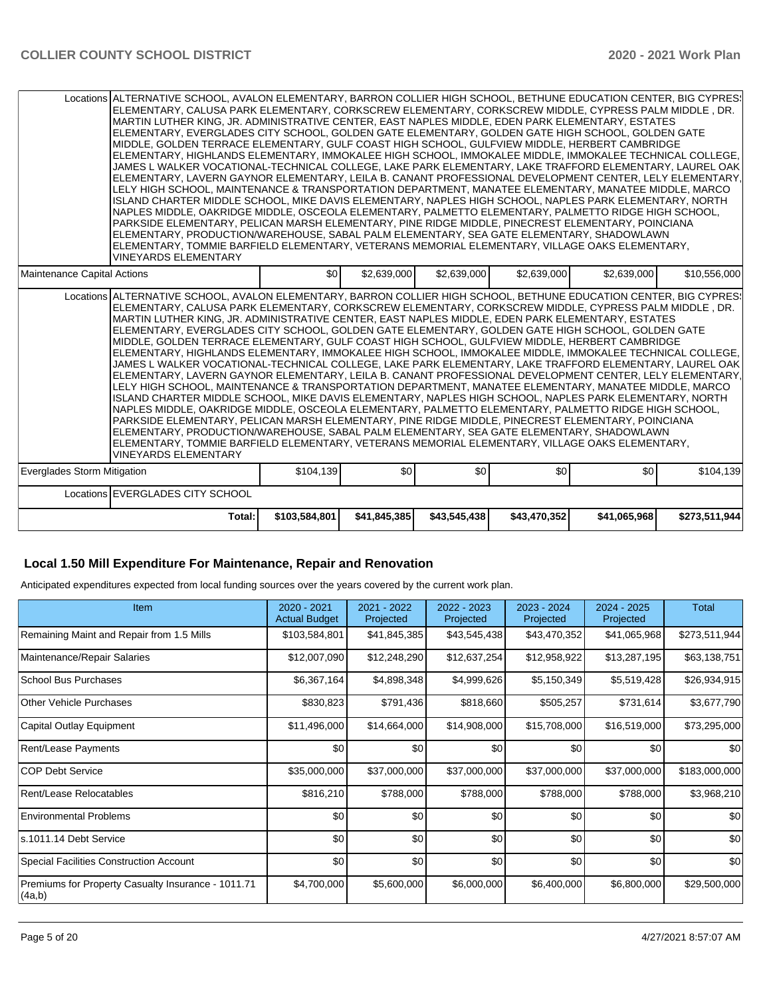| Locations ALTERNATIVE SCHOOL, AVALON ELEMENTARY, BARRON COLLIER HIGH SCHOOL, BETHUNE EDUCATION CENTER, BIG CYPRES:<br>ELEMENTARY, CALUSA PARK ELEMENTARY, CORKSCREW ELEMENTARY, CORKSCREW MIDDLE, CYPRESS PALM MIDDLE , DR.<br>MARTIN LUTHER KING, JR. ADMINISTRATIVE CENTER, EAST NAPLES MIDDLE, EDEN PARK ELEMENTARY, ESTATES<br>ELEMENTARY. EVERGLADES CITY SCHOOL. GOLDEN GATE ELEMENTARY. GOLDEN GATE HIGH SCHOOL. GOLDEN GATE<br>MIDDLE, GOLDEN TERRACE ELEMENTARY, GULF COAST HIGH SCHOOL, GULFVIEW MIDDLE, HERBERT CAMBRIDGE<br>ELEMENTARY, HIGHLANDS ELEMENTARY, IMMOKALEE HIGH SCHOOL, IMMOKALEE MIDDLE, IMMOKALEE TECHNICAL COLLEGE,<br>JAMES L WALKER VOCATIONAL-TECHNICAL COLLEGE, LAKE PARK ELEMENTARY, LAKE TRAFFORD ELEMENTARY, LAUREL OAK<br>ELEMENTARY, LAVERN GAYNOR ELEMENTARY, LEILA B. CANANT PROFESSIONAL DEVELOPMENT CENTER, LELY ELEMENTARY,<br>LELY HIGH SCHOOL, MAINTENANCE & TRANSPORTATION DEPARTMENT, MANATEE ELEMENTARY, MANATEE MIDDLE, MARCO<br>ISLAND CHARTER MIDDLE SCHOOL. MIKE DAVIS ELEMENTARY. NAPLES HIGH SCHOOL. NAPLES PARK ELEMENTARY. NORTH<br>NAPLES MIDDLE, OAKRIDGE MIDDLE, OSCEOLA ELEMENTARY, PALMETTO ELEMENTARY, PALMETTO RIDGE HIGH SCHOOL,<br>PARKSIDE ELEMENTARY, PELICAN MARSH ELEMENTARY, PINE RIDGE MIDDLE, PINECREST ELEMENTARY, POINCIANA<br>ELEMENTARY, PRODUCTION/WAREHOUSE, SABAL PALM ELEMENTARY, SEA GATE ELEMENTARY, SHADOWLAWN<br>ELEMENTARY. TOMMIE BARFIELD ELEMENTARY. VETERANS MEMORIAL ELEMENTARY. VILLAGE OAKS ELEMENTARY.<br><b>VINEYARDS ELEMENTARY</b>  |               |                  |              |              |              |               |
|------------------------------------------------------------------------------------------------------------------------------------------------------------------------------------------------------------------------------------------------------------------------------------------------------------------------------------------------------------------------------------------------------------------------------------------------------------------------------------------------------------------------------------------------------------------------------------------------------------------------------------------------------------------------------------------------------------------------------------------------------------------------------------------------------------------------------------------------------------------------------------------------------------------------------------------------------------------------------------------------------------------------------------------------------------------------------------------------------------------------------------------------------------------------------------------------------------------------------------------------------------------------------------------------------------------------------------------------------------------------------------------------------------------------------------------------------------------------------------------------------------------------------------|---------------|------------------|--------------|--------------|--------------|---------------|
| Maintenance Capital Actions                                                                                                                                                                                                                                                                                                                                                                                                                                                                                                                                                                                                                                                                                                                                                                                                                                                                                                                                                                                                                                                                                                                                                                                                                                                                                                                                                                                                                                                                                                        | \$0           | \$2,639,000      | \$2,639,000  | \$2,639,000  | \$2,639,000  | \$10,556,000  |
| Locations ALTERNATIVE SCHOOL, AVALON ELEMENTARY, BARRON COLLIER HIGH SCHOOL, BETHUNE EDUCATION CENTER, BIG CYPRES:<br>ELEMENTARY, CALUSA PARK ELEMENTARY, CORKSCREW ELEMENTARY, CORKSCREW MIDDLE, CYPRESS PALM MIDDLE, DR.<br>IMARTIN LUTHER KING. JR. ADMINISTRATIVE CENTER. EAST NAPLES MIDDLE. EDEN PARK ELEMENTARY. ESTATES<br>ELEMENTARY, EVERGLADES CITY SCHOOL, GOLDEN GATE ELEMENTARY, GOLDEN GATE HIGH SCHOOL, GOLDEN GATE<br>IMIDDLE. GOLDEN TERRACE ELEMENTARY. GULF COAST HIGH SCHOOL. GULFVIEW MIDDLE. HERBERT CAMBRIDGE<br>ELEMENTARY, HIGHLANDS ELEMENTARY, IMMOKALEE HIGH SCHOOL, IMMOKALEE MIDDLE, IMMOKALEE TECHNICAL COLLEGE,<br>JAMES L WALKER VOCATIONAL-TECHNICAL COLLEGE. LAKE PARK ELEMENTARY. LAKE TRAFFORD ELEMENTARY. LAUREL OAK<br>ELEMENTARY, LAVERN GAYNOR ELEMENTARY, LEILA B. CANANT PROFESSIONAL DEVELOPMENT CENTER, LELY ELEMENTARY,<br>LELY HIGH SCHOOL, MAINTENANCE & TRANSPORTATION DEPARTMENT, MANATEE ELEMENTARY, MANATEE MIDDLE, MARCO<br>ISLAND CHARTER MIDDLE SCHOOL, MIKE DAVIS ELEMENTARY, NAPLES HIGH SCHOOL, NAPLES PARK ELEMENTARY, NORTH<br>NAPLES MIDDLE, OAKRIDGE MIDDLE, OSCEOLA ELEMENTARY, PALMETTO ELEMENTARY, PALMETTO RIDGE HIGH SCHOOL,<br>PARKSIDE ELEMENTARY, PELICAN MARSH ELEMENTARY, PINE RIDGE MIDDLE, PINECREST ELEMENTARY, POINCIANA<br>ELEMENTARY, PRODUCTION/WAREHOUSE, SABAL PALM ELEMENTARY, SEA GATE ELEMENTARY, SHADOWLAWN<br>ELEMENTARY, TOMMIE BARFIELD ELEMENTARY, VETERANS MEMORIAL ELEMENTARY, VILLAGE OAKS ELEMENTARY,<br><b>VINEYARDS ELEMENTARY</b> |               |                  |              |              |              |               |
| Everglades Storm Mitigation                                                                                                                                                                                                                                                                                                                                                                                                                                                                                                                                                                                                                                                                                                                                                                                                                                                                                                                                                                                                                                                                                                                                                                                                                                                                                                                                                                                                                                                                                                        | \$104,139     | \$0 <sub>1</sub> | \$0          | \$0          | \$0          | \$104,139     |
| Locations EVERGLADES CITY SCHOOL                                                                                                                                                                                                                                                                                                                                                                                                                                                                                                                                                                                                                                                                                                                                                                                                                                                                                                                                                                                                                                                                                                                                                                                                                                                                                                                                                                                                                                                                                                   |               |                  |              |              |              |               |
| Total:                                                                                                                                                                                                                                                                                                                                                                                                                                                                                                                                                                                                                                                                                                                                                                                                                                                                                                                                                                                                                                                                                                                                                                                                                                                                                                                                                                                                                                                                                                                             | \$103,584,801 | \$41,845,385     | \$43,545,438 | \$43,470,352 | \$41,065,968 | \$273,511,944 |

#### **Local 1.50 Mill Expenditure For Maintenance, Repair and Renovation**

Anticipated expenditures expected from local funding sources over the years covered by the current work plan.

| Item                                                         | $2020 - 2021$<br><b>Actual Budget</b> | 2021 - 2022<br>Projected | 2022 - 2023<br>Projected | 2023 - 2024<br>Projected | $2024 - 2025$<br>Projected | Total         |
|--------------------------------------------------------------|---------------------------------------|--------------------------|--------------------------|--------------------------|----------------------------|---------------|
| Remaining Maint and Repair from 1.5 Mills                    | \$103,584,801                         | \$41,845,385             | \$43,545,438             | \$43,470,352             | \$41,065,968               | \$273,511,944 |
| Maintenance/Repair Salaries                                  | \$12,007,090                          | \$12,248,290             | \$12,637,254             | \$12,958,922             | \$13,287,195               | \$63,138,751  |
| School Bus Purchases                                         | \$6,367,164                           | \$4,898,348              | \$4,999,626              | \$5,150,349              | \$5,519,428                | \$26,934,915  |
| Other Vehicle Purchases                                      | \$830,823                             | \$791,436                | \$818,660                | \$505,257                | \$731,614                  | \$3,677,790   |
| Capital Outlay Equipment                                     | \$11,496,000                          | \$14,664,000             | \$14,908,000             | \$15,708,000             | \$16,519,000               | \$73,295,000  |
| Rent/Lease Payments                                          | \$0                                   | \$0                      | \$0                      | \$0                      | \$0                        | \$0           |
| ICOP Debt Service                                            | \$35,000,000                          | \$37,000,000             | \$37,000,000             | \$37,000,000             | \$37,000,000               | \$183,000,000 |
| Rent/Lease Relocatables                                      | \$816,210                             | \$788,000                | \$788,000                | \$788,000                | \$788,000                  | \$3,968,210   |
| <b>Environmental Problems</b>                                | \$0                                   | \$0                      | \$0                      | \$0                      | \$0                        | \$0           |
| ls.1011.14 Debt Service                                      | \$0                                   | \$0                      | \$0                      | \$0                      | \$0                        | \$0           |
| Special Facilities Construction Account                      | \$0                                   | \$0                      | \$0                      | \$0                      | \$0                        | \$0           |
| Premiums for Property Casualty Insurance - 1011.71<br>(4a,b) | \$4,700,000                           | \$5,600,000              | \$6,000,000              | \$6,400,000              | \$6,800,000                | \$29,500,000  |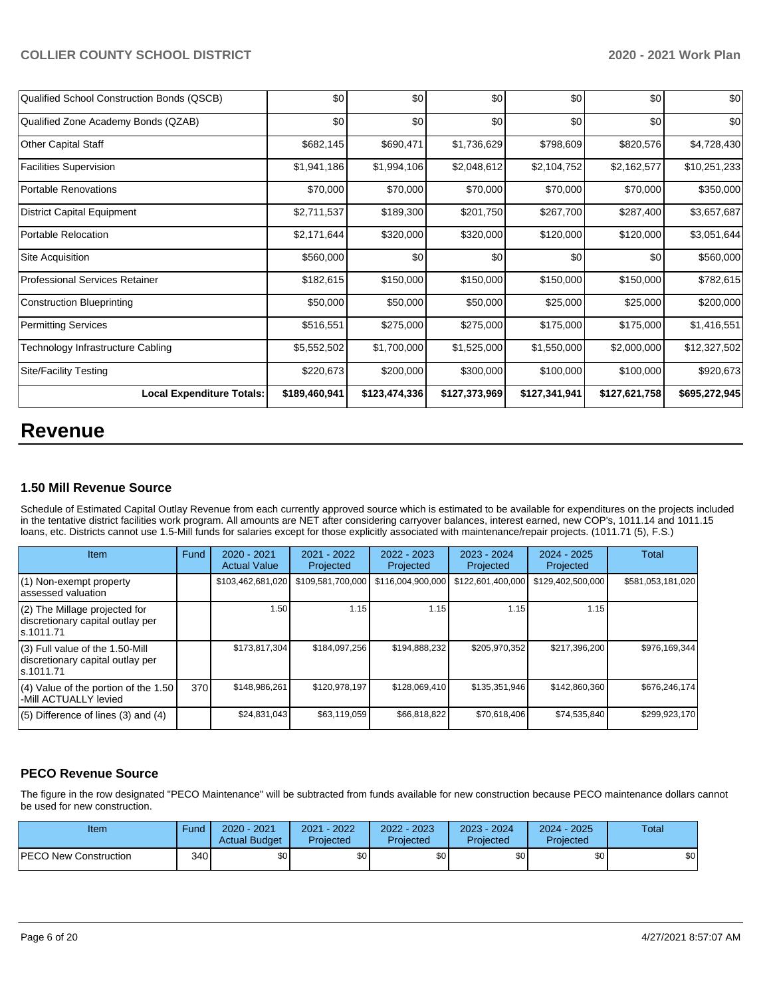| Qualified School Construction Bonds (QSCB) | \$0           | \$0           | \$0           | \$0           | \$0           | \$0           |
|--------------------------------------------|---------------|---------------|---------------|---------------|---------------|---------------|
| Qualified Zone Academy Bonds (QZAB)        | \$0           | \$0           | \$0           | \$0           | \$0           | \$0           |
| Other Capital Staff                        | \$682,145     | \$690,471     | \$1,736,629   | \$798,609     | \$820,576     | \$4,728,430   |
| <b>Facilities Supervision</b>              | \$1,941,186   | \$1,994,106   | \$2,048,612   | \$2,104,752   | \$2,162,577   | \$10,251,233  |
| Portable Renovations                       | \$70,000      | \$70,000      | \$70,000      | \$70,000      | \$70,000      | \$350,000     |
| District Capital Equipment                 | \$2,711,537   | \$189,300     | \$201,750     | \$267,700     | \$287,400     | \$3,657,687   |
| Portable Relocation                        | \$2,171,644   | \$320,000     | \$320,000     | \$120,000     | \$120,000     | \$3,051,644   |
| Site Acquisition                           | \$560,000     | \$0           | \$0           | \$0           | \$0           | \$560,000     |
| <b>Professional Services Retainer</b>      | \$182,615     | \$150,000     | \$150,000     | \$150,000     | \$150,000     | \$782,615     |
| Construction Blueprinting                  | \$50,000      | \$50,000      | \$50,000      | \$25,000      | \$25,000      | \$200,000     |
| <b>Permitting Services</b>                 | \$516,551     | \$275,000     | \$275,000     | \$175,000     | \$175,000     | \$1,416,551   |
| Technology Infrastructure Cabling          | \$5,552,502   | \$1,700,000   | \$1,525,000   | \$1,550,000   | \$2,000,000   | \$12,327,502  |
| <b>Site/Facility Testing</b>               | \$220,673     | \$200,000     | \$300,000     | \$100,000     | \$100,000     | \$920,673     |
| <b>Local Expenditure Totals:</b>           | \$189,460,941 | \$123,474,336 | \$127,373,969 | \$127,341,941 | \$127,621,758 | \$695,272,945 |

# **Revenue**

## **1.50 Mill Revenue Source**

Schedule of Estimated Capital Outlay Revenue from each currently approved source which is estimated to be available for expenditures on the projects included in the tentative district facilities work program. All amounts are NET after considering carryover balances, interest earned, new COP's, 1011.14 and 1011.15 loans, etc. Districts cannot use 1.5-Mill funds for salaries except for those explicitly associated with maintenance/repair projects. (1011.71 (5), F.S.)

| Item                                                                                | Fund | $2020 - 2021$<br><b>Actual Value</b> | $2021 - 2022$<br>Projected | $2022 - 2023$<br>Projected | $2023 - 2024$<br>Projected | $2024 - 2025$<br>Projected | Total             |
|-------------------------------------------------------------------------------------|------|--------------------------------------|----------------------------|----------------------------|----------------------------|----------------------------|-------------------|
| (1) Non-exempt property<br>lassessed valuation                                      |      | \$103,462,681,020                    | \$109,581,700,000          | \$116,004,900,000          | \$122,601,400,000          | \$129,402,500,000          | \$581,053,181,020 |
| $(2)$ The Millage projected for<br>discretionary capital outlay per<br>ls.1011.71   |      | 1.50                                 | 1.15                       | 1.15                       | 1.15                       | 1.15                       |                   |
| $(3)$ Full value of the 1.50-Mill<br>discretionary capital outlay per<br>ls.1011.71 |      | \$173,817,304                        | \$184.097.256              | \$194,888,232              | \$205,970,352              | \$217,396,200              | \$976,169,344     |
| $(4)$ Value of the portion of the 1.50<br>-Mill ACTUALLY levied                     | 370  | \$148,986,261                        | \$120,978,197              | \$128,069,410              | \$135,351,946              | \$142,860,360              | \$676,246,174     |
| $(5)$ Difference of lines $(3)$ and $(4)$                                           |      | \$24,831,043                         | \$63,119,059               | \$66,818,822               | \$70,618,406               | \$74,535,840               | \$299,923,170     |

# **PECO Revenue Source**

The figure in the row designated "PECO Maintenance" will be subtracted from funds available for new construction because PECO maintenance dollars cannot be used for new construction.

| Item                         | Fund         | 2020 - 2021<br><b>Actual Budget</b> | 2021 - 2022<br>Projected | 2022 - 2023<br>Projected | 2023 - 2024<br>Projected | $2024 - 2025$<br>Projected | Total |
|------------------------------|--------------|-------------------------------------|--------------------------|--------------------------|--------------------------|----------------------------|-------|
| <b>PECO New Construction</b> | 340 <b>I</b> | <b>SO</b>                           | \$0                      | \$0                      | \$0 <sub>1</sub>         | \$0                        | \$0   |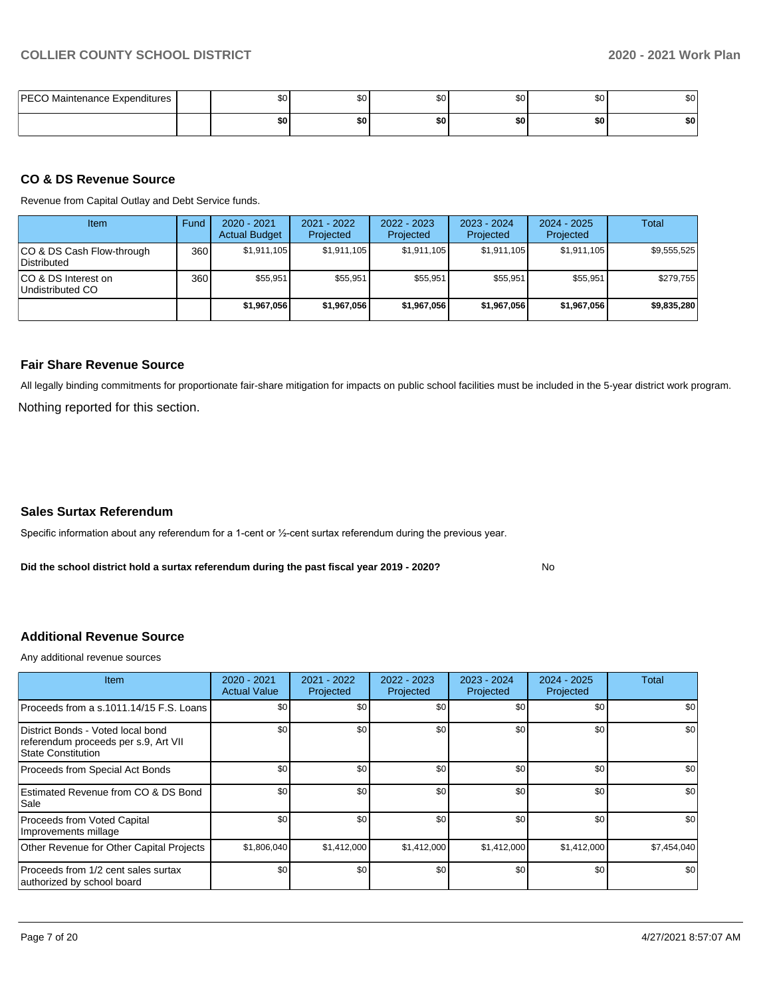| <b>PECO Maintenance Expenditures</b> | \$0 | \$0 <sub>1</sub> | \$C | ሶስ<br>ა∪ | ሰሰ<br>Ψ | ົົ<br>Ψ |
|--------------------------------------|-----|------------------|-----|----------|---------|---------|
|                                      | \$0 | \$0              | \$0 | \$0      | \$0     | \$0     |

### **CO & DS Revenue Source**

Revenue from Capital Outlay and Debt Service funds.

| Item                                      | Fund | $2020 - 2021$<br><b>Actual Budget</b> | $2021 - 2022$<br>Projected | $2022 - 2023$<br>Projected | $2023 - 2024$<br>Projected | $2024 - 2025$<br>Projected | Total       |
|-------------------------------------------|------|---------------------------------------|----------------------------|----------------------------|----------------------------|----------------------------|-------------|
| ICO & DS Cash Flow-through<br>Distributed | 360  | \$1.911.105                           | \$1,911,105                | \$1.911.105                | \$1.911.105                | \$1,911,105                | \$9.555.525 |
| ICO & DS Interest on<br>Undistributed CO  | 360  | \$55.951                              | \$55.951                   | \$55.951                   | \$55,951                   | \$55.951                   | \$279,755   |
|                                           |      | \$1,967,056                           | \$1,967,056                | \$1,967,056                | \$1,967,056                | \$1,967,056                | \$9,835,280 |

#### **Fair Share Revenue Source**

Nothing reported for this section. All legally binding commitments for proportionate fair-share mitigation for impacts on public school facilities must be included in the 5-year district work program.

#### **Sales Surtax Referendum**

Specific information about any referendum for a 1-cent or ½-cent surtax referendum during the previous year.

**Did the school district hold a surtax referendum during the past fiscal year 2019 - 2020?**

No

## **Additional Revenue Source**

Any additional revenue sources

| <b>Item</b>                                                                                            | 2020 - 2021<br><b>Actual Value</b> | $2021 - 2022$<br>Projected | 2022 - 2023<br>Projected | 2023 - 2024<br>Projected | $2024 - 2025$<br>Projected | Total       |
|--------------------------------------------------------------------------------------------------------|------------------------------------|----------------------------|--------------------------|--------------------------|----------------------------|-------------|
| Proceeds from a s.1011.14/15 F.S. Loans I                                                              | \$0                                | \$0                        | \$0                      | \$0                      | \$0                        | \$0         |
| District Bonds - Voted local bond<br>referendum proceeds per s.9, Art VII<br><b>State Constitution</b> | \$0                                | \$0                        | \$0                      | \$0                      | \$0                        | \$0         |
| Proceeds from Special Act Bonds                                                                        | \$0                                | \$0                        | \$0                      | \$0                      | \$0                        | \$0         |
| Estimated Revenue from CO & DS Bond<br>Sale                                                            | \$0                                | \$0                        | \$0                      | \$0                      | \$0                        | \$0         |
| Proceeds from Voted Capital<br>Improvements millage                                                    | \$0                                | \$0                        | \$0                      | \$0                      | \$0                        | \$0         |
| Other Revenue for Other Capital Projects                                                               | \$1,806,040                        | \$1,412,000                | \$1,412,000              | \$1,412,000              | \$1,412,000                | \$7,454,040 |
| Proceeds from 1/2 cent sales surtax<br>authorized by school board                                      | \$0                                | \$0                        | \$0                      | \$0                      | \$0                        | \$0         |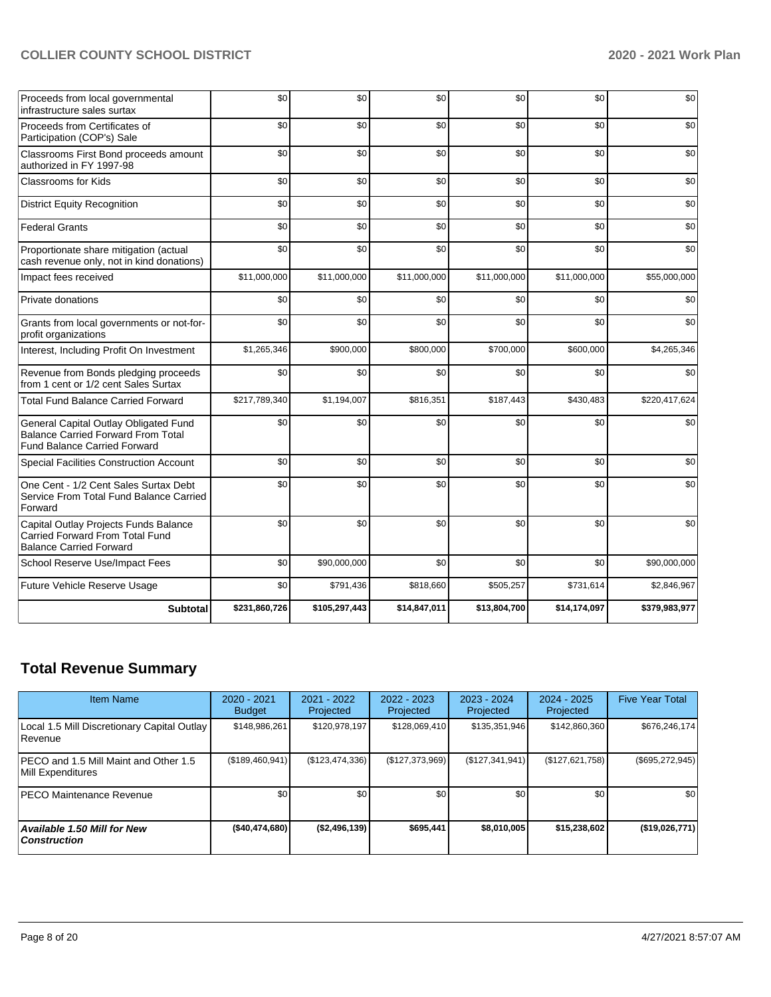| Proceeds from local governmental<br>infrastructure sales surtax                                                           | \$0           | \$0           | \$0          | \$0          | \$0          | \$0           |
|---------------------------------------------------------------------------------------------------------------------------|---------------|---------------|--------------|--------------|--------------|---------------|
| Proceeds from Certificates of<br>Participation (COP's) Sale                                                               | \$0           | \$0           | \$0          | \$0          | \$0          | \$0           |
| Classrooms First Bond proceeds amount<br>authorized in FY 1997-98                                                         | \$0           | \$0           | \$0          | \$0          | \$0          | \$0           |
| <b>Classrooms for Kids</b>                                                                                                | \$0           | \$0           | \$0          | \$0          | \$0          | \$0           |
| <b>District Equity Recognition</b>                                                                                        | \$0           | \$0           | \$0          | \$0          | \$0          | \$0           |
| <b>Federal Grants</b>                                                                                                     | \$0           | \$0           | \$0          | \$0          | \$0          | \$0           |
| Proportionate share mitigation (actual<br>cash revenue only, not in kind donations)                                       | \$0           | \$0           | \$0          | \$0          | \$0          | \$0           |
| Impact fees received                                                                                                      | \$11,000,000  | \$11,000,000  | \$11,000,000 | \$11,000,000 | \$11,000,000 | \$55,000,000  |
| Private donations                                                                                                         | \$0           | \$0           | \$0          | \$0          | \$0          | \$0           |
| Grants from local governments or not-for-<br>profit organizations                                                         | \$0           | \$0           | \$0          | \$0          | \$0          | \$0           |
| Interest, Including Profit On Investment                                                                                  | \$1,265,346   | \$900,000     | \$800,000    | \$700,000    | \$600,000    | \$4,265,346   |
| Revenue from Bonds pledging proceeds<br>from 1 cent or 1/2 cent Sales Surtax                                              | \$0           | \$0           | \$0          | \$0          | \$0          | \$0           |
| <b>Total Fund Balance Carried Forward</b>                                                                                 | \$217,789,340 | \$1,194,007   | \$816,351    | \$187,443    | \$430,483    | \$220,417,624 |
| General Capital Outlay Obligated Fund<br><b>Balance Carried Forward From Total</b><br><b>Fund Balance Carried Forward</b> | \$0           | \$0           | \$0          | \$0          | \$0          | \$0           |
| Special Facilities Construction Account                                                                                   | \$0           | \$0           | \$0          | \$0          | \$0          | \$0           |
| One Cent - 1/2 Cent Sales Surtax Debt<br>Service From Total Fund Balance Carried<br>Forward                               | \$0           | \$0           | \$0          | \$0          | \$0          | \$0           |
| Capital Outlay Projects Funds Balance<br><b>Carried Forward From Total Fund</b><br><b>Balance Carried Forward</b>         | \$0           | \$0           | \$0          | \$0          | \$0          | \$0           |
| School Reserve Use/Impact Fees                                                                                            | \$0           | \$90,000,000  | \$0          | \$0          | \$0          | \$90,000,000  |
| Future Vehicle Reserve Usage                                                                                              | \$0           | \$791,436     | \$818,660    | \$505,257    | \$731,614    | \$2,846,967   |
| <b>Subtotal</b>                                                                                                           | \$231,860,726 | \$105,297,443 | \$14,847,011 | \$13,804,700 | \$14,174,097 | \$379,983,977 |

# **Total Revenue Summary**

| <b>Item Name</b>                                           | 2020 - 2021<br><b>Budget</b> | 2021 - 2022<br>Projected | 2022 - 2023<br>Projected | $2023 - 2024$<br>Projected | $2024 - 2025$<br>Projected | <b>Five Year Total</b> |
|------------------------------------------------------------|------------------------------|--------------------------|--------------------------|----------------------------|----------------------------|------------------------|
| Local 1.5 Mill Discretionary Capital Outlay<br>Revenue     | \$148,986,261                | \$120,978,197            | \$128,069,410            | \$135,351,946              | \$142,860,360              | \$676,246,174          |
| PECO and 1.5 Mill Maint and Other 1.5<br>Mill Expenditures | (\$189,460,941)              | (\$123,474,336)          | (\$127,373,969)          | (\$127,341,941)            | (\$127,621,758)            | $(\$695,272,945)$      |
| <b>PECO Maintenance Revenue</b>                            | \$0                          | \$0                      | \$0                      | \$0                        | \$0                        | \$0                    |
| Available 1.50 Mill for New<br><b>Construction</b>         | ( \$40,474,680]              | (\$2,496,139)            | \$695.441                | \$8.010.005                | \$15,238,602               | (\$19,026,771)         |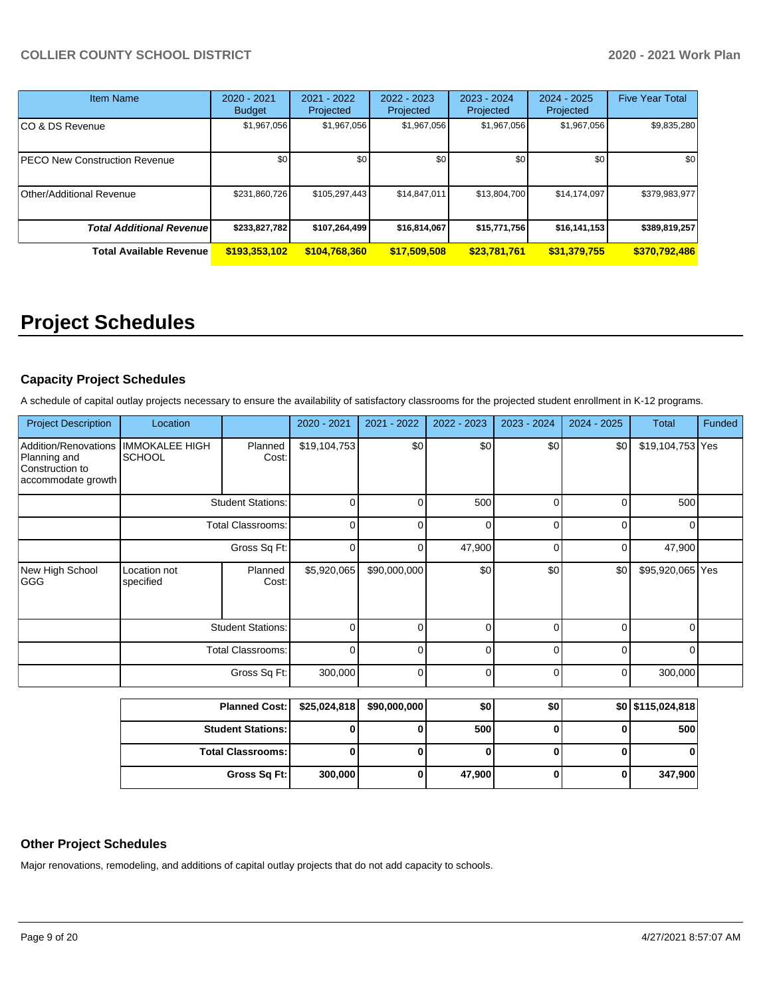| Item Name                        | 2020 - 2021<br><b>Budget</b> | 2021 - 2022<br>Projected | 2022 - 2023<br>Projected | 2023 - 2024<br>Projected | $2024 - 2025$<br>Projected | <b>Five Year Total</b> |
|----------------------------------|------------------------------|--------------------------|--------------------------|--------------------------|----------------------------|------------------------|
| CO & DS Revenue                  | \$1,967,056                  | \$1,967,056              | \$1,967,056              | \$1,967,056              | \$1,967,056                | \$9,835,280            |
| PECO New Construction Revenue    | \$0                          | \$0                      | \$0                      | \$0                      | \$0                        | \$0                    |
| Other/Additional Revenue         | \$231,860,726                | \$105,297,443            | \$14,847,011             | \$13,804,700             | \$14,174,097               | \$379,983,977          |
| <b>Total Additional Revenuel</b> | \$233,827,782                | \$107,264,499            | \$16,814,067             | \$15,771,756             | \$16,141,153               | \$389,819,257          |
| <b>Total Available Revenue</b>   | \$193,353,102                | \$104,768,360            | \$17,509,508             | \$23,781,761             | \$31,379,755               | \$370,792,486          |

# **Project Schedules**

# **Capacity Project Schedules**

A schedule of capital outlay projects necessary to ensure the availability of satisfactory classrooms for the projected student enrollment in K-12 programs.

| <b>Project Description</b>                                                    | Location                               |                          | 2020 - 2021  | 2021 - 2022  | 2022 - 2023 | 2023 - 2024 | 2024 - 2025    | <b>Total</b>      | Funded |
|-------------------------------------------------------------------------------|----------------------------------------|--------------------------|--------------|--------------|-------------|-------------|----------------|-------------------|--------|
| Addition/Renovations<br>Planning and<br>Construction to<br>accommodate growth | <b>IMMOKALEE HIGH</b><br><b>SCHOOL</b> | Planned<br>Cost:         | \$19,104,753 | \$0          | \$0         | \$0         | \$0            | \$19,104,753 Yes  |        |
|                                                                               |                                        | <b>Student Stations:</b> | $\Omega$     | $\Omega$     | 500         | 0           | 0              | 500               |        |
|                                                                               |                                        | <b>Total Classrooms:</b> | 0            | 0            | $\Omega$    | 0           | 0              | 0                 |        |
|                                                                               | Gross Sq Ft:                           |                          | 0            | 0            | 47,900      | 0           | $\overline{0}$ | 47,900            |        |
| New High School<br><b>GGG</b>                                                 | Location not<br>specified              | Planned<br>Cost:         | \$5,920,065  | \$90,000,000 | \$0         | \$0         | \$0            | \$95,920,065 Yes  |        |
|                                                                               |                                        | <b>Student Stations:</b> | $\Omega$     | U            | $\Omega$    | 0           | 0              | $\Omega$          |        |
|                                                                               | <b>Total Classrooms:</b>               |                          | $\Omega$     | $\Omega$     | $\Omega$    | 0           | $\overline{0}$ | 0                 |        |
|                                                                               | Gross Sq Ft:                           |                          | 300,000      | 0            | 0           | 0           | $\overline{0}$ | 300,000           |        |
|                                                                               | <b>Planned Cost:</b>                   |                          | \$25,024,818 | \$90,000,000 | \$0         | \$0         |                | \$0 \$115,024,818 |        |
|                                                                               |                                        | .                        |              |              | $- - -$     |             |                |                   |        |

| <b>Student Stations:</b> |         | 500    |  | 500     |
|--------------------------|---------|--------|--|---------|
| <b>Total Classrooms:</b> |         |        |  | υ       |
| Gross Sq Ft:             | 300,000 | 47,900 |  | 347,900 |

# **Other Project Schedules**

Major renovations, remodeling, and additions of capital outlay projects that do not add capacity to schools.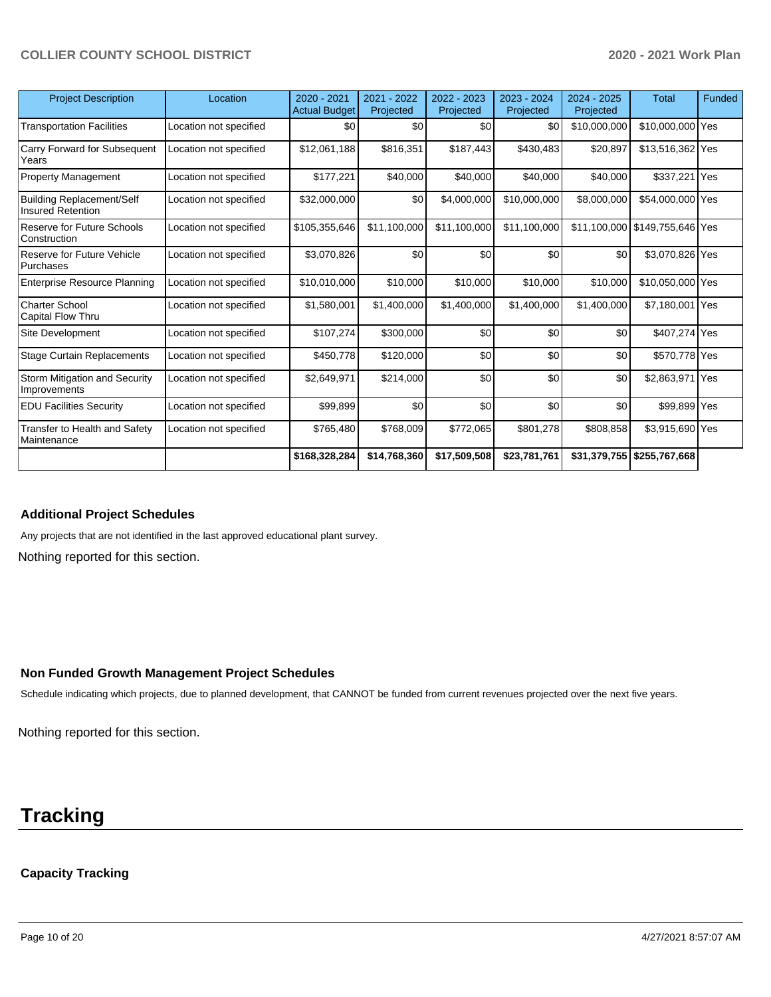| <b>Project Description</b>                            | Location               | $2020 - 2021$<br><b>Actual Budget</b> | 2021 - 2022<br>Projected | $2022 - 2023$<br>Projected | $2023 - 2024$<br>Projected | $2024 - 2025$<br>Projected | <b>Total</b>                   | Funded |
|-------------------------------------------------------|------------------------|---------------------------------------|--------------------------|----------------------------|----------------------------|----------------------------|--------------------------------|--------|
| <b>Transportation Facilities</b>                      | Location not specified | \$0                                   | \$0                      | \$0                        | \$0                        | \$10,000,000               | \$10,000,000 Yes               |        |
| Carry Forward for Subsequent<br>Years                 | Location not specified | \$12,061,188                          | \$816,351                | \$187,443                  | \$430,483                  | \$20,897                   | \$13,516,362 Yes               |        |
| <b>Property Management</b>                            | Location not specified | \$177,221                             | \$40,000                 | \$40,000                   | \$40,000                   | \$40,000                   | \$337,221 Yes                  |        |
| <b>Building Replacement/Self</b><br>Insured Retention | Location not specified | \$32,000,000                          | \$0                      | \$4,000,000                | \$10.000.000               | \$8,000,000                | \$54,000,000 Yes               |        |
| Reserve for Future Schools<br>Construction            | Location not specified | \$105,355,646                         | \$11,100,000             | \$11,100,000               | \$11,100,000               |                            | \$11,100,000 \$149,755,646 Yes |        |
| Reserve for Future Vehicle<br>Purchases               | Location not specified | \$3,070,826                           | \$0                      | \$0                        | \$0                        | \$0                        | \$3,070,826 Yes                |        |
| <b>Enterprise Resource Planning</b>                   | Location not specified | \$10,010,000                          | \$10,000                 | \$10,000                   | \$10,000                   | \$10,000                   | \$10,050,000 Yes               |        |
| <b>Charter School</b><br>Capital Flow Thru            | Location not specified | \$1,580,001                           | \$1,400,000              | \$1,400,000                | \$1,400,000                | \$1,400,000                | \$7,180,001 Yes                |        |
| Site Development                                      | Location not specified | \$107,274]                            | \$300,000                | \$0                        | \$0                        | \$0                        | \$407,274 Yes                  |        |
| <b>Stage Curtain Replacements</b>                     | Location not specified | \$450,778                             | \$120,000                | \$0                        | \$0                        | \$0                        | \$570,778 Yes                  |        |
| Storm Mitigation and Security<br>Improvements         | Location not specified | \$2,649,971                           | \$214,000                | \$0                        | \$0                        | \$0                        | \$2,863,971 Yes                |        |
| <b>EDU Facilities Security</b>                        | Location not specified | \$99,899                              | \$0                      | \$0                        | \$0                        | \$0                        | \$99,899 Yes                   |        |
| Transfer to Health and Safety<br>Maintenance          | Location not specified | \$765,480                             | \$768,009                | \$772,065                  | \$801,278                  | \$808,858                  | \$3,915,690 Yes                |        |
|                                                       |                        | \$168,328,284                         | \$14,768,360             | \$17,509,508               | \$23,781,761               | \$31,379,755               | \$255,767,668                  |        |

### **Additional Project Schedules**

Any projects that are not identified in the last approved educational plant survey.

Nothing reported for this section.

#### **Non Funded Growth Management Project Schedules**

Schedule indicating which projects, due to planned development, that CANNOT be funded from current revenues projected over the next five years.

Nothing reported for this section.

# **Tracking**

## **Capacity Tracking**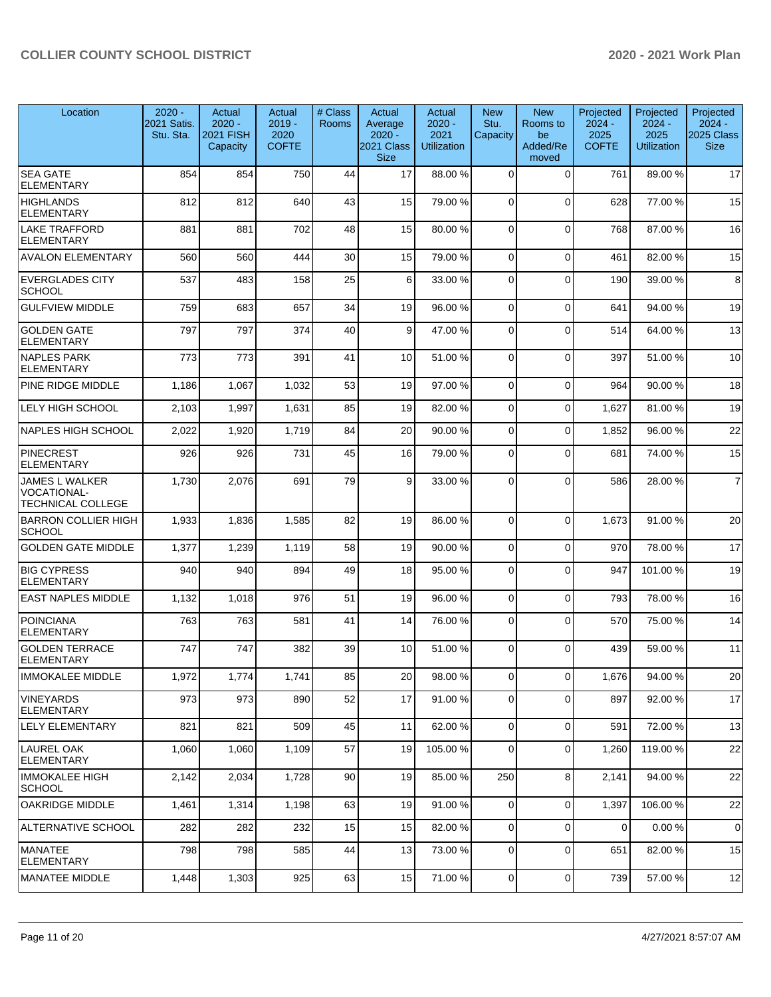| Location                                                                | $2020 -$<br>2021 Satis.<br>Stu. Sta. | Actual<br>$2020 -$<br>2021 FISH<br>Capacity | Actual<br>$2019 -$<br>2020<br><b>COFTE</b> | # Class<br><b>Rooms</b> | Actual<br>Average<br>$2020 -$<br>2021 Class<br><b>Size</b> | Actual<br>$2020 -$<br>2021<br><b>Utilization</b> | <b>New</b><br>Stu.<br>Capacity | <b>New</b><br>Rooms to<br>be<br>Added/Re<br>moved | Projected<br>$2024 -$<br>2025<br><b>COFTE</b> | Projected<br>$2024 -$<br>2025<br><b>Utilization</b> | Projected<br>$2024 -$<br><b>2025 Class</b><br><b>Size</b> |
|-------------------------------------------------------------------------|--------------------------------------|---------------------------------------------|--------------------------------------------|-------------------------|------------------------------------------------------------|--------------------------------------------------|--------------------------------|---------------------------------------------------|-----------------------------------------------|-----------------------------------------------------|-----------------------------------------------------------|
| <b>SEA GATE</b><br><b>ELEMENTARY</b>                                    | 854                                  | 854                                         | 750                                        | 44                      | 17                                                         | 88.00 %                                          | $\Omega$                       | $\Omega$                                          | 761                                           | 89.00 %                                             | 17                                                        |
| <b>HIGHLANDS</b><br><b>ELEMENTARY</b>                                   | 812                                  | 812                                         | 640                                        | 43                      | 15                                                         | 79.00 %                                          | $\Omega$                       | $\Omega$                                          | 628                                           | 77.00 %                                             | 15                                                        |
| <b>LAKE TRAFFORD</b><br>ELEMENTARY                                      | 881                                  | 881                                         | 702                                        | 48                      | 15                                                         | 80.00 %                                          | $\Omega$                       | $\Omega$                                          | 768                                           | 87.00 %                                             | 16                                                        |
| <b>AVALON ELEMENTARY</b>                                                | 560                                  | 560                                         | 444                                        | 30                      | 15                                                         | 79.00 %                                          | $\Omega$                       | $\Omega$                                          | 461                                           | 82.00 %                                             | 15                                                        |
| <b>EVERGLADES CITY</b><br><b>SCHOOL</b>                                 | 537                                  | 483                                         | 158                                        | 25                      | 6                                                          | 33.00 %                                          | $\Omega$                       | $\Omega$                                          | 190                                           | 39.00 %                                             | 8                                                         |
| <b>GULFVIEW MIDDLE</b>                                                  | 759                                  | 683                                         | 657                                        | 34                      | 19                                                         | 96.00 %                                          | $\Omega$                       | $\Omega$                                          | 641                                           | 94.00%                                              | 19                                                        |
| <b>GOLDEN GATE</b><br><b>ELEMENTARY</b>                                 | 797                                  | 797                                         | 374                                        | 40                      | 9                                                          | 47.00 %                                          | $\Omega$                       | $\Omega$                                          | 514                                           | 64.00 %                                             | 13                                                        |
| NAPLES PARK<br><b>ELEMENTARY</b>                                        | 773                                  | 773                                         | 391                                        | 41                      | 10                                                         | 51.00 %                                          | $\Omega$                       | $\Omega$                                          | 397                                           | 51.00 %                                             | 10                                                        |
| PINE RIDGE MIDDLE                                                       | 1,186                                | 1,067                                       | 1,032                                      | 53                      | 19                                                         | 97.00%                                           | $\Omega$                       | $\mathbf{0}$                                      | 964                                           | 90.00%                                              | 18                                                        |
| <b>LELY HIGH SCHOOL</b>                                                 | 2,103                                | 1,997                                       | 1,631                                      | 85                      | 19                                                         | 82.00%                                           | $\Omega$                       | $\mathbf{0}$                                      | 1,627                                         | 81.00%                                              | 19                                                        |
| NAPLES HIGH SCHOOL                                                      | 2,022                                | 1,920                                       | 1,719                                      | 84                      | 20                                                         | 90.00%                                           | $\Omega$                       | $\Omega$                                          | 1,852                                         | 96.00 %                                             | 22                                                        |
| <b>PINECREST</b><br><b>ELEMENTARY</b>                                   | 926                                  | 926                                         | 731                                        | 45                      | 16                                                         | 79.00 %                                          | $\Omega$                       | $\Omega$                                          | 681                                           | 74.00 %                                             | 15                                                        |
| <b>JAMES L WALKER</b><br><b>VOCATIONAL-</b><br><b>TECHNICAL COLLEGE</b> | 1,730                                | 2,076                                       | 691                                        | 79                      | 9                                                          | 33.00 %                                          | $\Omega$                       | $\Omega$                                          | 586                                           | 28.00 %                                             | $\overline{7}$                                            |
| <b>BARRON COLLIER HIGH</b><br><b>SCHOOL</b>                             | 1,933                                | 1,836                                       | 1,585                                      | 82                      | 19                                                         | 86.00 %                                          | $\Omega$                       | $\Omega$                                          | 1,673                                         | 91.00%                                              | 20                                                        |
| <b>GOLDEN GATE MIDDLE</b>                                               | 1,377                                | 1,239                                       | 1,119                                      | 58                      | 19                                                         | 90.00 %                                          | $\Omega$                       | $\Omega$                                          | 970                                           | 78.00 %                                             | 17                                                        |
| <b>BIG CYPRESS</b><br><b>ELEMENTARY</b>                                 | 940                                  | 940                                         | 894                                        | 49                      | 18                                                         | 95.00 %                                          | $\Omega$                       | $\mathbf{0}$                                      | 947                                           | 101.00%                                             | 19                                                        |
| <b>EAST NAPLES MIDDLE</b>                                               | 1,132                                | 1,018                                       | 976                                        | 51                      | 19                                                         | 96.00 %                                          | $\Omega$                       | $\Omega$                                          | 793                                           | 78.00 %                                             | 16                                                        |
| POINCIANA<br><b>ELEMENTARY</b>                                          | 763                                  | 763                                         | 581                                        | 41                      | 14                                                         | 76.00 %                                          | $\Omega$                       | $\Omega$                                          | 570                                           | 75.00 %                                             | 14                                                        |
| <b>GOLDEN TERRACE</b><br><b>ELEMENTARY</b>                              | 747                                  | 747                                         | 382                                        | 39                      | 10                                                         | 51.00 %                                          | $\Omega$                       | $\Omega$                                          | 439                                           | 59.00 %                                             | 11                                                        |
| <b>IMMOKALEE MIDDLE</b>                                                 | 1,972                                | 1,774                                       | 1,741                                      | 85                      | 20                                                         | 98.00 %                                          | $\overline{0}$                 | $\mathbf 0$                                       | 1,676                                         | 94.00 %                                             | 20                                                        |
| <b>VINEYARDS</b><br><b>ELEMENTARY</b>                                   | 973                                  | 973                                         | 890                                        | 52                      | 17                                                         | 91.00%                                           | $\Omega$                       | $\Omega$                                          | 897                                           | 92.00 %                                             | 17                                                        |
| LELY ELEMENTARY                                                         | 821                                  | 821                                         | 509                                        | 45                      | 11                                                         | 62.00%                                           | $\overline{0}$                 | 0                                                 | 591                                           | 72.00 %                                             | 13                                                        |
| LAUREL OAK<br><b>ELEMENTARY</b>                                         | 1,060                                | 1,060                                       | 1,109                                      | 57                      | 19                                                         | 105.00 %                                         | $\overline{0}$                 | 0                                                 | 1,260                                         | 119.00 %                                            | 22                                                        |
| IMMOKALEE HIGH<br><b>SCHOOL</b>                                         | 2,142                                | 2,034                                       | 1,728                                      | 90                      | 19                                                         | 85.00 %                                          | 250                            | 8                                                 | 2,141                                         | 94.00 %                                             | 22                                                        |
| <b>OAKRIDGE MIDDLE</b>                                                  | 1,461                                | 1,314                                       | 1,198                                      | 63                      | 19                                                         | 91.00%                                           | $\Omega$                       | 0                                                 | 1,397                                         | 106.00%                                             | 22                                                        |
| ALTERNATIVE SCHOOL                                                      | 282                                  | 282                                         | 232                                        | 15                      | 15                                                         | 82.00 %                                          | $\overline{0}$                 | 0                                                 | $\mathbf 0$                                   | 0.00%                                               | $\mathbf 0$                                               |
| MANATEE<br><b>ELEMENTARY</b>                                            | 798                                  | 798                                         | 585                                        | 44                      | 13                                                         | 73.00 %                                          | $\Omega$                       | $\mathbf 0$                                       | 651                                           | 82.00 %                                             | 15                                                        |
| MANATEE MIDDLE                                                          | 1,448                                | 1,303                                       | 925                                        | 63                      | 15                                                         | 71.00%                                           | $\overline{0}$                 | 0                                                 | 739                                           | 57.00 %                                             | 12                                                        |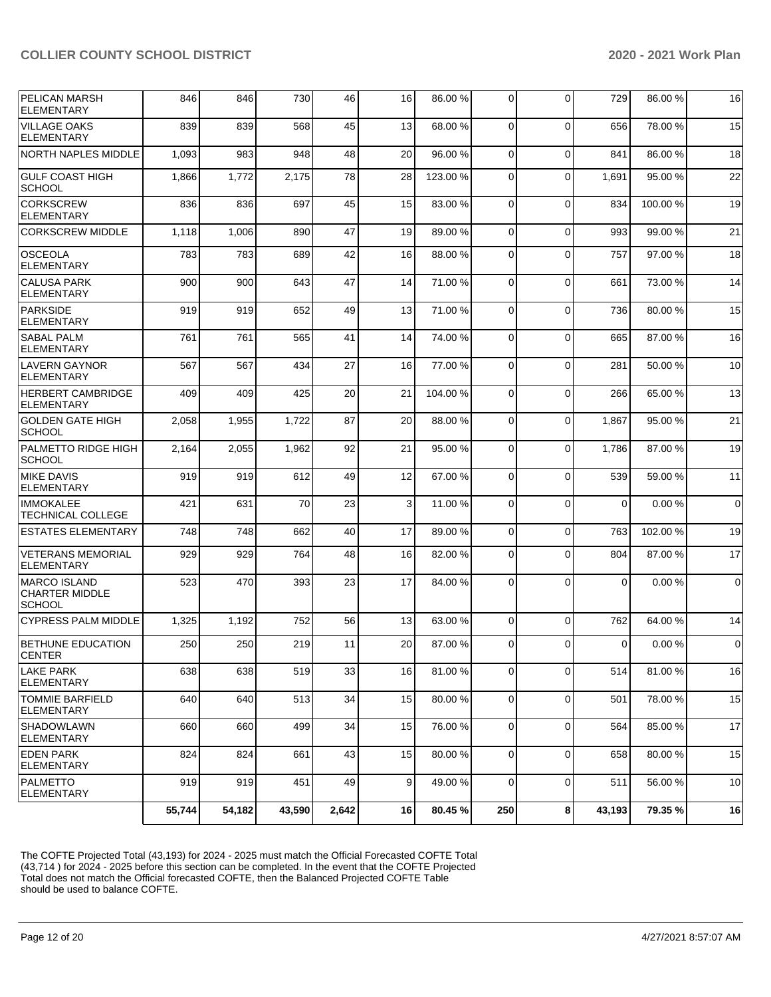| <b>PELICAN MARSH</b><br><b>ELEMENTARY</b>                     | 846    | 846    | 730    | 46    | 16 | 86.00 % | 0              | 0           | 729      | 86.00 % | 16          |
|---------------------------------------------------------------|--------|--------|--------|-------|----|---------|----------------|-------------|----------|---------|-------------|
| <b>VILLAGE OAKS</b><br><b>ELEMENTARY</b>                      | 839    | 839    | 568    | 45    | 13 | 68.00 % | 0              | $\Omega$    | 656      | 78.00 % | 15          |
| <b>NORTH NAPLES MIDDLE</b>                                    | 1,093  | 983    | 948    | 48    | 20 | 96.00 % | 0              | $\Omega$    | 841      | 86.00 % | 18          |
| <b>GULF COAST HIGH</b><br><b>SCHOOL</b>                       | 1,866  | 1,772  | 2,175  | 78    | 28 | 123.00% | 0              | $\Omega$    | 1,691    | 95.00 % | 22          |
| <b>CORKSCREW</b><br><b>ELEMENTARY</b>                         | 836    | 836    | 697    | 45    | 15 | 83.00 % | 0              | $\Omega$    | 834      | 100.00% | 19          |
| <b>CORKSCREW MIDDLE</b>                                       | 1,118  | 1,006  | 890    | 47    | 19 | 89.00 % | $\Omega$       | $\Omega$    | 993      | 99.00 % | 21          |
| <b>OSCEOLA</b><br><b>ELEMENTARY</b>                           | 783    | 783    | 689    | 42    | 16 | 88.00 % | $\mathbf 0$    | $\Omega$    | 757      | 97.00 % | 18          |
| <b>CALUSA PARK</b><br><b>ELEMENTARY</b>                       | 900    | 900    | 643    | 47    | 14 | 71.00 % | 0              | $\Omega$    | 661      | 73.00 % | 14          |
| <b>PARKSIDE</b><br><b>ELEMENTARY</b>                          | 919    | 919    | 652    | 49    | 13 | 71.00 % | $\mathbf 0$    | $\Omega$    | 736      | 80.00 % | 15          |
| <b>SABAL PALM</b><br><b>ELEMENTARY</b>                        | 761    | 761    | 565    | 41    | 14 | 74.00 % | $\mathbf 0$    | $\Omega$    | 665      | 87.00 % | 16          |
| <b>LAVERN GAYNOR</b><br><b>ELEMENTARY</b>                     | 567    | 567    | 434    | 27    | 16 | 77.00 % | 0              | $\Omega$    | 281      | 50.00 % | 10          |
| <b>HERBERT CAMBRIDGE</b><br><b>ELEMENTARY</b>                 | 409    | 409    | 425    | 20    | 21 | 104.00% | $\mathbf 0$    | $\Omega$    | 266      | 65.00 % | 13          |
| <b>GOLDEN GATE HIGH</b><br><b>SCHOOL</b>                      | 2,058  | 1,955  | 1,722  | 87    | 20 | 88.00 % | $\mathbf 0$    | $\Omega$    | 1,867    | 95.00 % | 21          |
| PALMETTO RIDGE HIGH<br><b>SCHOOL</b>                          | 2,164  | 2,055  | 1,962  | 92    | 21 | 95.00 % | 0              | $\Omega$    | 1,786    | 87.00 % | 19          |
| <b>MIKE DAVIS</b><br><b>ELEMENTARY</b>                        | 919    | 919    | 612    | 49    | 12 | 67.00 % | $\mathbf 0$    | $\Omega$    | 539      | 59.00 % | 11          |
| <b>IMMOKALEE</b><br>TECHNICAL COLLEGE                         | 421    | 631    | 70     | 23    | 3  | 11.00 % | $\mathbf 0$    | $\Omega$    | $\Omega$ | 0.00%   | $\mathbf 0$ |
| <b>ESTATES ELEMENTARY</b>                                     | 748    | 748    | 662    | 40    | 17 | 89.00 % | 0              | $\Omega$    | 763      | 102.00% | 19          |
| <b>VETERANS MEMORIAL</b><br><b>ELEMENTARY</b>                 | 929    | 929    | 764    | 48    | 16 | 82.00 % | 0              | $\Omega$    | 804      | 87.00 % | 17          |
| <b>MARCO ISLAND</b><br><b>CHARTER MIDDLE</b><br><b>SCHOOL</b> | 523    | 470    | 393    | 23    | 17 | 84.00 % | $\Omega$       | $\Omega$    | $\Omega$ | 0.00%   | $\mathbf 0$ |
| <b>CYPRESS PALM MIDDLE</b>                                    | 1,325  | 1,192  | 752    | 56    | 13 | 63.00 % | $\overline{0}$ | $\Omega$    | 762      | 64.00 % | 14          |
| <b>BETHUNE EDUCATION</b><br><b>CENTER</b>                     | 250    | 250    | 219    | 11    | 20 | 87.00 % | 0              | $\Omega$    | $\Omega$ | 0.00%   | $\mathbf 0$ |
| <b>LAKE PARK</b><br>ELEMENTARY                                | 638    | 638    | 519    | 33    | 16 | 81.00 % | 0              | $\mathbf 0$ | 514      | 81.00 % | 16          |
| <b>TOMMIE BARFIELD</b><br><b>ELEMENTARY</b>                   | 640    | 640    | 513    | 34    | 15 | 80.00 % | 0              | $\mathbf 0$ | 501      | 78.00 % | 15          |
| <b>SHADOWLAWN</b><br><b>ELEMENTARY</b>                        | 660    | 660    | 499    | 34    | 15 | 76.00 % | $\overline{0}$ | $\mathbf 0$ | 564      | 85.00 % | 17          |
| <b>EDEN PARK</b><br>ELEMENTARY                                | 824    | 824    | 661    | 43    | 15 | 80.00 % | $\overline{0}$ | $\mathbf 0$ | 658      | 80.00 % | 15          |
| PALMETTO<br><b>ELEMENTARY</b>                                 | 919    | 919    | 451    | 49    | 9  | 49.00 % | $\mathbf 0$    | $\mathbf 0$ | 511      | 56.00 % | 10          |
|                                                               | 55,744 | 54,182 | 43,590 | 2,642 | 16 | 80.45 % | 250            | 8           | 43,193   | 79.35 % | 16          |

The COFTE Projected Total (43,193) for 2024 - 2025 must match the Official Forecasted COFTE Total (43,714 ) for 2024 - 2025 before this section can be completed. In the event that the COFTE Projected Total does not match the Official forecasted COFTE, then the Balanced Projected COFTE Table should be used to balance COFTE.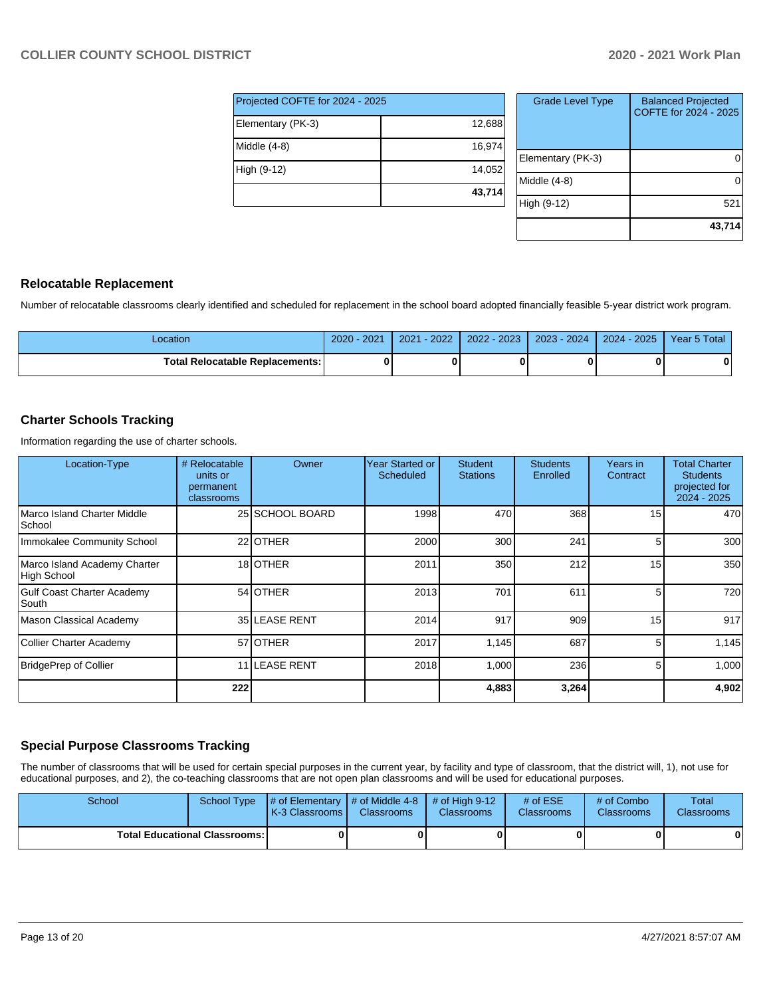| Projected COFTE for 2024 - 2025 |        |  |  |  |  |  |
|---------------------------------|--------|--|--|--|--|--|
| Elementary (PK-3)               | 12,688 |  |  |  |  |  |
| Middle (4-8)                    | 16,974 |  |  |  |  |  |
| High (9-12)                     | 14,052 |  |  |  |  |  |
|                                 | 43,714 |  |  |  |  |  |

| <b>Grade Level Type</b> | <b>Balanced Projected</b><br>COFTE for 2024 - 2025 |
|-------------------------|----------------------------------------------------|
| Elementary (PK-3)       |                                                    |
| Middle (4-8)            |                                                    |
| High (9-12)             | 521                                                |
|                         | 43,714                                             |

# **Relocatable Replacement**

Number of relocatable classrooms clearly identified and scheduled for replacement in the school board adopted financially feasible 5-year district work program.

| _ocation                               | $2020 - 2021$ | $-2022$<br>2021 | 2022 - 2023 | $2023 - 2024$ | $-2025$<br>$2024 -$ | Year 5 Total |
|----------------------------------------|---------------|-----------------|-------------|---------------|---------------------|--------------|
| <b>Total Relocatable Replacements:</b> |               |                 |             |               |                     | 0            |

# **Charter Schools Tracking**

Information regarding the use of charter schools.

| Location-Type                               | # Relocatable<br>units or<br>permanent<br>classrooms | Owner           | <b>Year Started or</b><br>Scheduled | <b>Student</b><br><b>Stations</b> | <b>Students</b><br>Enrolled | Years in<br>Contract | <b>Total Charter</b><br><b>Students</b><br>projected for<br>$2024 - 2025$ |
|---------------------------------------------|------------------------------------------------------|-----------------|-------------------------------------|-----------------------------------|-----------------------------|----------------------|---------------------------------------------------------------------------|
| Marco Island Charter Middle<br>School       |                                                      | 25 SCHOOL BOARD | 1998                                | 470                               | 368                         | 15                   | 470                                                                       |
| Immokalee Community School                  |                                                      | 22 OTHER        | 2000                                | 300                               | 241                         | 5 <sup>1</sup>       | 300                                                                       |
| Marco Island Academy Charter<br>High School |                                                      | 18 OTHER        | 2011                                | 350                               | 212                         | 15                   | 350                                                                       |
| Gulf Coast Charter Academy<br>South         |                                                      | 54 OTHER        | 2013                                | 701                               | 611                         | 5                    | 720                                                                       |
| Mason Classical Academy                     |                                                      | 35 LEASE RENT   | 2014                                | 917                               | 909                         | 15                   | 917                                                                       |
| Collier Charter Academy                     |                                                      | 57 OTHER        | 2017                                | 1,145                             | 687                         | 5 <sup>5</sup>       | 1,145                                                                     |
| BridgePrep of Collier                       |                                                      | 11 LEASE RENT   | 2018                                | 1,000                             | 236                         | 5                    | 1,000                                                                     |
|                                             | 222                                                  |                 |                                     | 4,883                             | 3,264                       |                      | 4,902                                                                     |

# **Special Purpose Classrooms Tracking**

The number of classrooms that will be used for certain special purposes in the current year, by facility and type of classroom, that the district will, 1), not use for educational purposes, and 2), the co-teaching classrooms that are not open plan classrooms and will be used for educational purposes.

| School                                 |  | School Type $\left  \frac{1}{2}$ of Elementary $\left  \frac{1}{2}$ of Middle 4-8 $\left  \frac{1}{2}$ of High 9-12<br><b>K-3 Classrooms</b> | <b>Classrooms</b> | <b>Classrooms</b> | # of $ESE$<br><b>Classrooms</b> | # of Combo<br><b>Classrooms</b> | Total<br><b>Classrooms</b> |
|----------------------------------------|--|----------------------------------------------------------------------------------------------------------------------------------------------|-------------------|-------------------|---------------------------------|---------------------------------|----------------------------|
| <b>Total Educational Classrooms: I</b> |  |                                                                                                                                              | 01                |                   |                                 | 01                              | 0                          |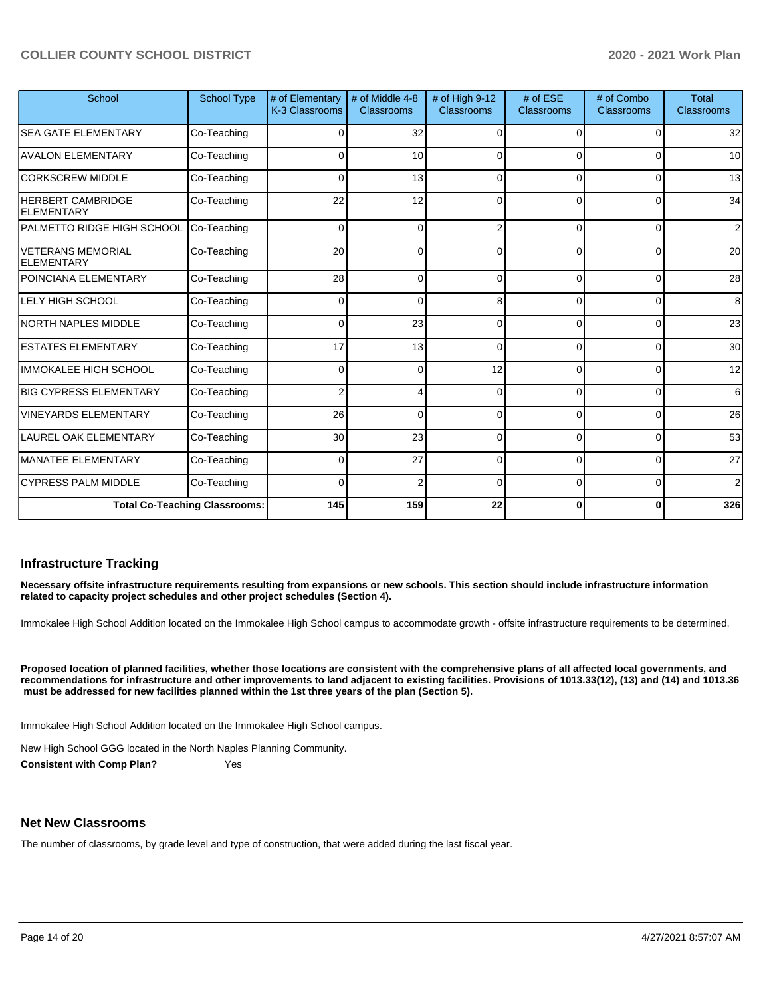| School                                        | <b>School Type</b>                   | # of Elementary<br>K-3 Classrooms | # of Middle 4-8<br><b>Classrooms</b> | # of High 9-12<br>Classrooms | $#$ of ESE<br>Classrooms | # of Combo<br>Classrooms | <b>Total</b><br>Classrooms |
|-----------------------------------------------|--------------------------------------|-----------------------------------|--------------------------------------|------------------------------|--------------------------|--------------------------|----------------------------|
| <b>SEA GATE ELEMENTARY</b>                    | Co-Teaching                          | 32<br>0<br>0<br>$\Omega$<br>∩     |                                      | 32                           |                          |                          |                            |
| <b>AVALON ELEMENTARY</b>                      | Co-Teaching                          | 0                                 | 10                                   | ∩                            | 0                        | $\Omega$                 | 10                         |
| <b>CORKSCREW MIDDLE</b>                       | Co-Teaching                          | 0                                 | 13                                   | $\Omega$                     | $\Omega$                 | $\Omega$                 | 13                         |
| <b>HERBERT CAMBRIDGE</b><br>ELEMENTARY        | Co-Teaching                          | 22                                | 12                                   | $\Omega$                     | $\Omega$                 | $\Omega$                 | 34                         |
| PALMETTO RIDGE HIGH SCHOOL                    | Co-Teaching                          | $\Omega$                          | $\mathbf 0$                          | 2                            | $\Omega$                 | $\Omega$                 | 2                          |
| <b>VETERANS MEMORIAL</b><br><b>ELEMENTARY</b> | Co-Teaching                          | 20                                | 0                                    | C                            | 0                        | $\Omega$                 | 20                         |
| POINCIANA ELEMENTARY                          | Co-Teaching                          | 28                                | 0                                    | $\Omega$                     | $\Omega$                 | $\Omega$                 | 28                         |
| LELY HIGH SCHOOL                              | Co-Teaching                          | $\Omega$                          | $\Omega$                             | 8                            | 0                        | $\Omega$                 | 8                          |
| <b>NORTH NAPLES MIDDLE</b>                    | Co-Teaching                          | $\Omega$                          | 23                                   | $\Omega$                     | $\Omega$                 | $\Omega$                 | 23                         |
| <b>ESTATES ELEMENTARY</b>                     | Co-Teaching                          | 17                                | 13                                   | $\Omega$                     | $\Omega$                 | $\Omega$                 | 30                         |
| <b>IMMOKALEE HIGH SCHOOL</b>                  | Co-Teaching                          | $\Omega$                          | $\overline{0}$                       | 12                           | $\Omega$                 | $\Omega$                 | 12                         |
| <b>BIG CYPRESS ELEMENTARY</b>                 | Co-Teaching                          | 2                                 | 4                                    | $\Omega$                     | $\Omega$                 | $\Omega$                 | 6                          |
| <b>VINEYARDS ELEMENTARY</b>                   | Co-Teaching                          | 26                                | 0                                    | $\Omega$                     | 0                        | $\Omega$                 | 26                         |
| <b>LAUREL OAK ELEMENTARY</b>                  | Co-Teaching                          | 30                                | 23                                   | $\Omega$                     | $\Omega$                 | $\Omega$                 | 53                         |
| <b>MANATEE ELEMENTARY</b>                     | Co-Teaching                          | 0                                 | 27                                   | $\Omega$                     | 0                        | $\Omega$                 | 27                         |
| <b>CYPRESS PALM MIDDLE</b>                    | Co-Teaching                          | <sup>0</sup>                      | $\overline{2}$                       | $\Omega$                     | 0                        | $\Omega$                 | $\overline{2}$             |
|                                               | <b>Total Co-Teaching Classrooms:</b> | 145                               | 159                                  | 22                           | 0                        | 0                        | 326                        |

#### **Infrastructure Tracking**

**Necessary offsite infrastructure requirements resulting from expansions or new schools. This section should include infrastructure information related to capacity project schedules and other project schedules (Section 4).** 

Immokalee High School Addition located on the Immokalee High School campus to accommodate growth - offsite infrastructure requirements to be determined.

**Proposed location of planned facilities, whether those locations are consistent with the comprehensive plans of all affected local governments, and recommendations for infrastructure and other improvements to land adjacent to existing facilities. Provisions of 1013.33(12), (13) and (14) and 1013.36** must be addressed for new facilities planned within the 1st three years of the plan (Section 5).

Immokalee High School Addition located on the Immokalee High School campus.

New High School GGG located in the North Naples Planning Community.

**Consistent with Comp Plan?** Yes

### **Net New Classrooms**

The number of classrooms, by grade level and type of construction, that were added during the last fiscal year.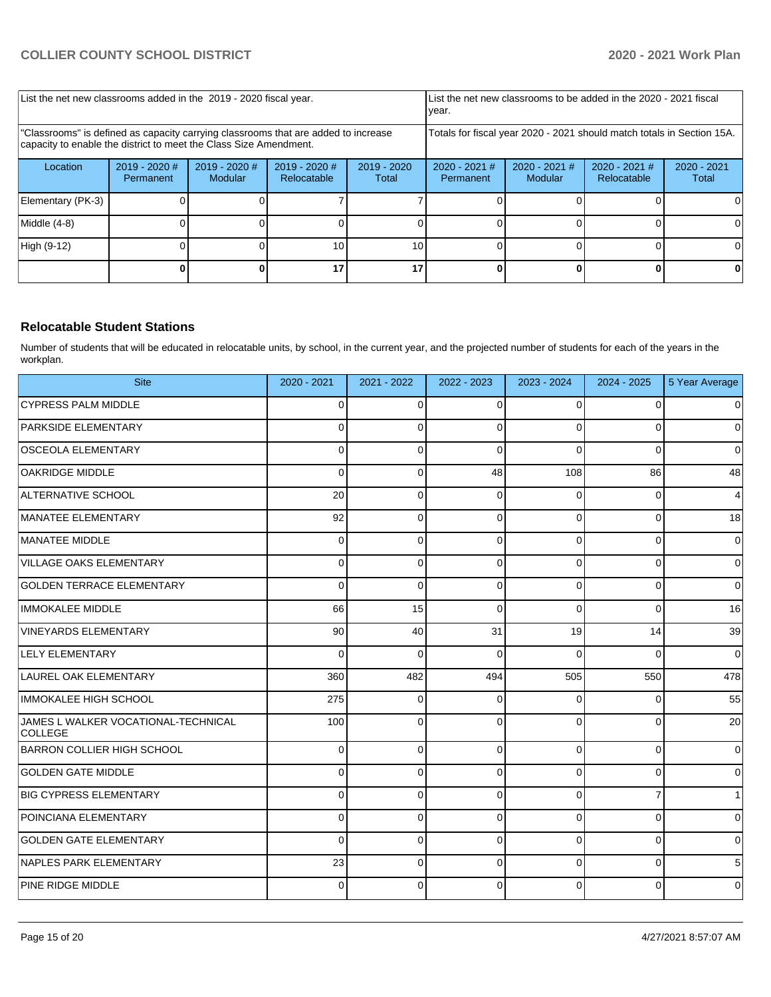| List the net new classrooms added in the 2019 - 2020 fiscal year.                                                                                       |                              |                            |                                |                        | year.                                                                  |                            | List the net new classrooms to be added in the 2020 - 2021 fiscal |                        |
|---------------------------------------------------------------------------------------------------------------------------------------------------------|------------------------------|----------------------------|--------------------------------|------------------------|------------------------------------------------------------------------|----------------------------|-------------------------------------------------------------------|------------------------|
| "Classrooms" is defined as capacity carrying classrooms that are added to increase<br>capacity to enable the district to meet the Class Size Amendment. |                              |                            |                                |                        | Totals for fiscal year 2020 - 2021 should match totals in Section 15A. |                            |                                                                   |                        |
| Location                                                                                                                                                | $2019 - 2020$ #<br>Permanent | $2019 - 2020$ #<br>Modular | $2019 - 2020$ #<br>Relocatable | $2019 - 2020$<br>Total | $2020 - 2021$ #<br>Permanent                                           | $2020 - 2021$ #<br>Modular | $2020 - 2021$ #<br>Relocatable                                    | $2020 - 2021$<br>Total |
| Elementary (PK-3)                                                                                                                                       |                              |                            |                                |                        |                                                                        |                            |                                                                   |                        |
| Middle (4-8)                                                                                                                                            |                              |                            |                                |                        |                                                                        |                            |                                                                   |                        |
| High (9-12)                                                                                                                                             |                              |                            | 10                             | 10 <sup>1</sup>        |                                                                        |                            |                                                                   | ΩI                     |
|                                                                                                                                                         |                              |                            |                                | 17                     |                                                                        |                            |                                                                   |                        |

## **Relocatable Student Stations**

Number of students that will be educated in relocatable units, by school, in the current year, and the projected number of students for each of the years in the workplan.

| <b>Site</b>                                           | $2020 - 2021$ | 2021 - 2022 | 2022 - 2023 | 2023 - 2024 | 2024 - 2025    | 5 Year Average |
|-------------------------------------------------------|---------------|-------------|-------------|-------------|----------------|----------------|
| <b>CYPRESS PALM MIDDLE</b>                            | $\Omega$      | $\Omega$    | $\Omega$    | $\Omega$    | $\Omega$       | $\mathbf 0$    |
| <b>PARKSIDE ELEMENTARY</b>                            | 0             | 0           | $\Omega$    | $\Omega$    | 0              | $\mathbf 0$    |
| <b>OSCEOLA ELEMENTARY</b>                             | 0             | 0           | $\Omega$    | $\Omega$    | $\Omega$       | $\mathbf 0$    |
| OAKRIDGE MIDDLE                                       | 0             | 0           | 48          | 108         | 86             | 48             |
| ALTERNATIVE SCHOOL                                    | 20            | 0           | $\Omega$    | 0           | 0              | $\overline{4}$ |
| MANATEE ELEMENTARY                                    | 92            | 0           | $\Omega$    | 0           | 0              | 18             |
| MANATEE MIDDLE                                        | 0             | 0           | $\Omega$    | $\Omega$    | $\Omega$       | $\mathbf 0$    |
| VILLAGE OAKS ELEMENTARY                               | 0             | 0           | $\Omega$    | 0           | $\Omega$       | $\mathbf 0$    |
| <b>GOLDEN TERRACE ELEMENTARY</b>                      | $\Omega$      | 0           | $\Omega$    | $\mathbf 0$ | 0              | $\mathbf 0$    |
| <b>IMMOKALEE MIDDLE</b>                               | 66            | 15          | $\Omega$    | 0           | $\Omega$       | 16             |
| <b>VINEYARDS ELEMENTARY</b>                           | 90            | 40          | 31          | 19          | 14             | 39             |
| <b>LELY ELEMENTARY</b>                                | 0             | 0           | $\Omega$    | 0           | 0              | $\pmb{0}$      |
| LAUREL OAK ELEMENTARY                                 | 360           | 482         | 494         | 505         | 550            | 478            |
| IMMOKALEE HIGH SCHOOL                                 | 275           | $\Omega$    | $\Omega$    | $\Omega$    | 0              | 55             |
| JAMES L WALKER VOCATIONAL-TECHNICAL<br><b>COLLEGE</b> | 100           | $\Omega$    | $\Omega$    | 0           | $\Omega$       | 20             |
| <b>BARRON COLLIER HIGH SCHOOL</b>                     | 0             | 0           | $\Omega$    | 0           | $\Omega$       | $\mathbf 0$    |
| <b>GOLDEN GATE MIDDLE</b>                             | 0             | 0           | $\Omega$    | 0           | $\Omega$       | $\mathbf 0$    |
| <b>BIG CYPRESS ELEMENTARY</b>                         | 0             | $\Omega$    | $\Omega$    | $\Omega$    | $\overline{7}$ | $\overline{1}$ |
| POINCIANA ELEMENTARY                                  | 0             | 0           | $\Omega$    | 0           | $\Omega$       | $\mathbf 0$    |
| <b>GOLDEN GATE ELEMENTARY</b>                         | $\mathbf 0$   | 0           | $\mathbf 0$ | $\mathbf 0$ | 0              | $\mathbf 0$    |
| NAPLES PARK ELEMENTARY                                | 23            | 0           | $\Omega$    | 0           | 0              | 5              |
| <b>PINE RIDGE MIDDLE</b>                              | 0             | $\Omega$    | $\Omega$    | $\Omega$    | 0              | $\mathbf 0$    |
|                                                       |               |             |             |             |                |                |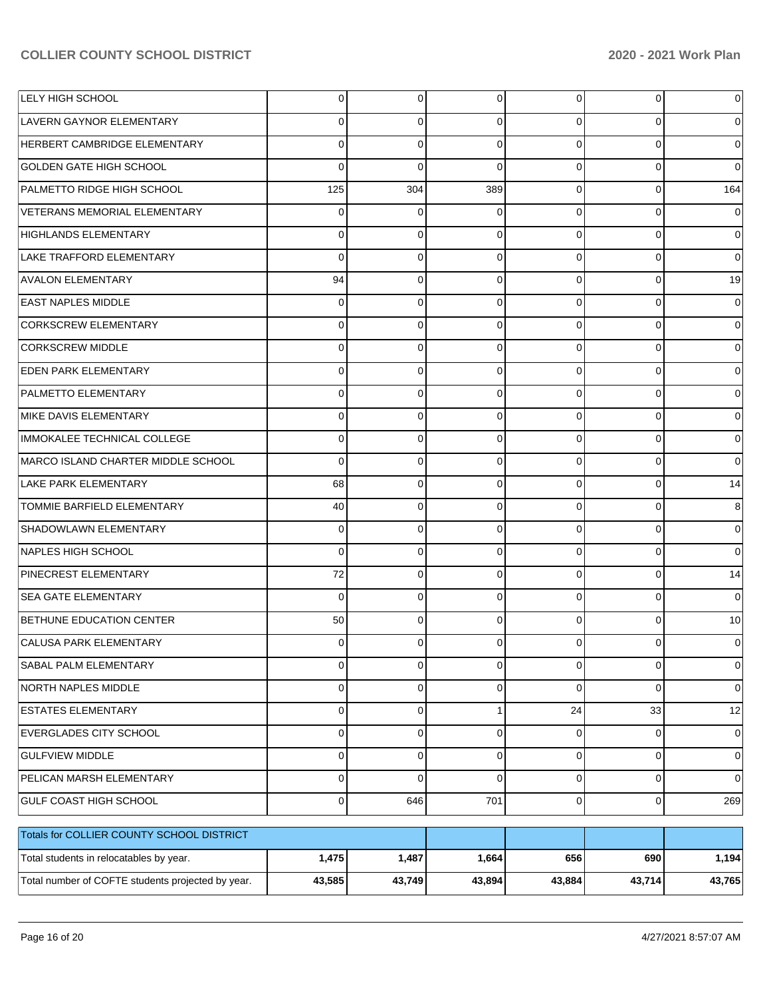| LELY HIGH SCHOOL                                  | 0           | $\overline{0}$ | $\Omega$    | $\Omega$       | 0           | 0           |
|---------------------------------------------------|-------------|----------------|-------------|----------------|-------------|-------------|
| LAVERN GAYNOR ELEMENTARY                          | 0           | 0              | 0           | 0              | $\Omega$    |             |
| HERBERT CAMBRIDGE ELEMENTARY                      | 0           | $\mathbf 0$    | $\Omega$    | $\Omega$       | $\Omega$    | 0           |
| <b>GOLDEN GATE HIGH SCHOOL</b>                    | 0           | $\mathbf 0$    | 0           | 0              | $\Omega$    | 0           |
| PALMETTO RIDGE HIGH SCHOOL                        | 125         | 304            | 389         | 0              | $\Omega$    | 164         |
| VETERANS MEMORIAL ELEMENTARY                      | 0           | 0              | 0           | 0              | $\Omega$    | 0           |
| <b>HIGHLANDS ELEMENTARY</b>                       | 0           | 0              | 0           | 0              | $\Omega$    | 0           |
| LAKE TRAFFORD ELEMENTARY                          | 0           | 0              | 0           | 0              | $\Omega$    | 0           |
| <b>AVALON ELEMENTARY</b>                          | 94          | 0              | 0           | 0              | $\Omega$    | 19          |
| <b>EAST NAPLES MIDDLE</b>                         | 0           | $\mathbf 0$    | 0           | 0              | $\Omega$    | 0           |
| <b>CORKSCREW ELEMENTARY</b>                       | 0           | 0              | 0           | 0              | $\Omega$    |             |
| <b>CORKSCREW MIDDLE</b>                           | 0           | $\mathbf 0$    | 0           | 0              | $\Omega$    |             |
| <b>EDEN PARK ELEMENTARY</b>                       | 0           | 0              | $\Omega$    | 0              | $\Omega$    |             |
| PALMETTO ELEMENTARY                               | 0           | $\mathbf 0$    | 0           | 0              | $\Omega$    |             |
| MIKE DAVIS ELEMENTARY                             | 0           | 0              | 0           | 0              | $\Omega$    |             |
| IMMOKALEE TECHNICAL COLLEGE                       | 0           | $\mathbf 0$    | 0           | 0              | $\Omega$    |             |
| MARCO ISLAND CHARTER MIDDLE SCHOOL                | 0           | 0              | $\Omega$    | 0              | $\Omega$    | 0           |
| <b>LAKE PARK ELEMENTARY</b>                       | 68          | $\mathbf 0$    | 0           | 0              | $\Omega$    | 14          |
| TOMMIE BARFIELD ELEMENTARY                        | 40          | 0              | 0           | 0              | $\Omega$    | 8           |
| SHADOWLAWN ELEMENTARY                             | $\Omega$    | $\mathbf 0$    | 0           | 0              | $\Omega$    | 0           |
| <b>NAPLES HIGH SCHOOL</b>                         | 0           | 0              | $\Omega$    | 0              | $\Omega$    | 0           |
| PINECREST ELEMENTARY                              | 72          | $\mathbf 0$    | 0           | 0              | $\mathbf 0$ | 14          |
| <b>SEA GATE ELEMENTARY</b>                        | $\Omega$    | 0              | $\Omega$    | 0              | $\Omega$    | 0           |
| BETHUNE EDUCATION CENTER                          | 50          | 0              | $\Omega$    | 0              | $\Omega$    | 10          |
| <b>CALUSA PARK ELEMENTARY</b>                     | 0           | 0              |             | 0              | 0           | 0           |
| SABAL PALM ELEMENTARY                             | $\mathbf 0$ | $\overline{0}$ | 0           | $\overline{0}$ | 0           | $\mathbf 0$ |
| <b>NORTH NAPLES MIDDLE</b>                        | 0           | 0              | 0           | $\Omega$       | $\mathbf 0$ | 0           |
| <b>ESTATES ELEMENTARY</b>                         | $\Omega$    | 0              | 1           | 24             | 33          | 12          |
| EVERGLADES CITY SCHOOL                            | 0           | $\mathbf 0$    | 0           | $\overline{0}$ | 0           | 0           |
| <b>GULFVIEW MIDDLE</b>                            | $\Omega$    | 0              | 0           | $\overline{0}$ | $\mathbf 0$ | $\mathbf 0$ |
| PELICAN MARSH ELEMENTARY                          | 0           | $\mathbf 0$    | $\mathbf 0$ | $\overline{0}$ | $\mathbf 0$ | 0           |
| GULF COAST HIGH SCHOOL                            | $\mathbf 0$ | 646            | 701         | $\overline{0}$ | $\mathbf 0$ | 269         |
| Totals for COLLIER COUNTY SCHOOL DISTRICT         |             |                |             |                |             |             |
| Total students in relocatables by year.           | 1,475       | 1,487          | 1,664       | 656            | 690         | 1,194       |
| Total number of COFTE students projected by year. | 43,585      | 43,749         | 43,894      | 43,884         | 43,714      | 43,765      |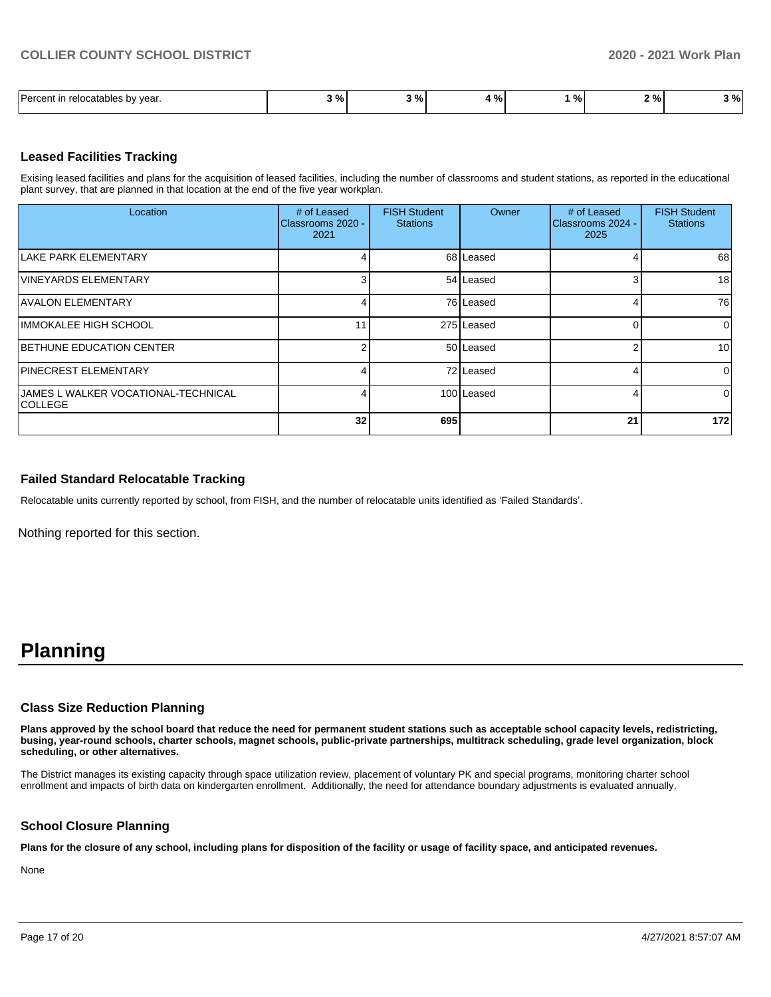| $\overline{\phantom{0}}$<br>l Darcant<br>relocatables by<br>vear. | $\sim$ 0/<br>,,,, | $\sim$<br>"∕o<br>- 1 | - 04<br>- - - | 70 I | າ ດ/<br>7٥<br>- | % |
|-------------------------------------------------------------------|-------------------|----------------------|---------------|------|-----------------|---|

### **Leased Facilities Tracking**

Exising leased facilities and plans for the acquisition of leased facilities, including the number of classrooms and student stations, as reported in the educational plant survey, that are planned in that location at the end of the five year workplan.

| Location                                              | # of Leased<br>Classrooms 2020 -<br>2021 | <b>FISH Student</b><br><b>Stations</b> | Owner      | # of Leased<br>Classrooms 2024 -<br>2025 | <b>FISH Student</b><br><b>Stations</b> |
|-------------------------------------------------------|------------------------------------------|----------------------------------------|------------|------------------------------------------|----------------------------------------|
| LAKE PARK ELEMENTARY                                  |                                          |                                        | 68 Leased  |                                          | 68                                     |
| <b>VINEYARDS ELEMENTARY</b>                           |                                          |                                        | 54 Leased  |                                          | 18                                     |
| <b>AVALON ELEMENTARY</b>                              |                                          |                                        | 76 Leased  |                                          | 76                                     |
| IIMMOKALEE HIGH SCHOOL                                | 11                                       |                                        | 275 Leased |                                          | $\Omega$                               |
| <b>BETHUNE EDUCATION CENTER</b>                       |                                          |                                        | 50 Leased  |                                          | 10 <sup>1</sup>                        |
| <b>PINECREST ELEMENTARY</b>                           |                                          |                                        | 72 Leased  |                                          | $\Omega$                               |
| JAMES L WALKER VOCATIONAL-TECHNICAL<br><b>COLLEGE</b> |                                          |                                        | 100 Leased |                                          | $\Omega$                               |
|                                                       | 32 <sub>1</sub>                          | 695                                    |            | 21                                       | 172                                    |

#### **Failed Standard Relocatable Tracking**

Relocatable units currently reported by school, from FISH, and the number of relocatable units identified as 'Failed Standards'.

Nothing reported for this section.

# **Planning**

#### **Class Size Reduction Planning**

**Plans approved by the school board that reduce the need for permanent student stations such as acceptable school capacity levels, redistricting, busing, year-round schools, charter schools, magnet schools, public-private partnerships, multitrack scheduling, grade level organization, block scheduling, or other alternatives.**

The District manages its existing capacity through space utilization review, placement of voluntary PK and special programs, monitoring charter school enrollment and impacts of birth data on kindergarten enrollment. Additionally, the need for attendance boundary adjustments is evaluated annually.

#### **School Closure Planning**

**Plans for the closure of any school, including plans for disposition of the facility or usage of facility space, and anticipated revenues.** 

None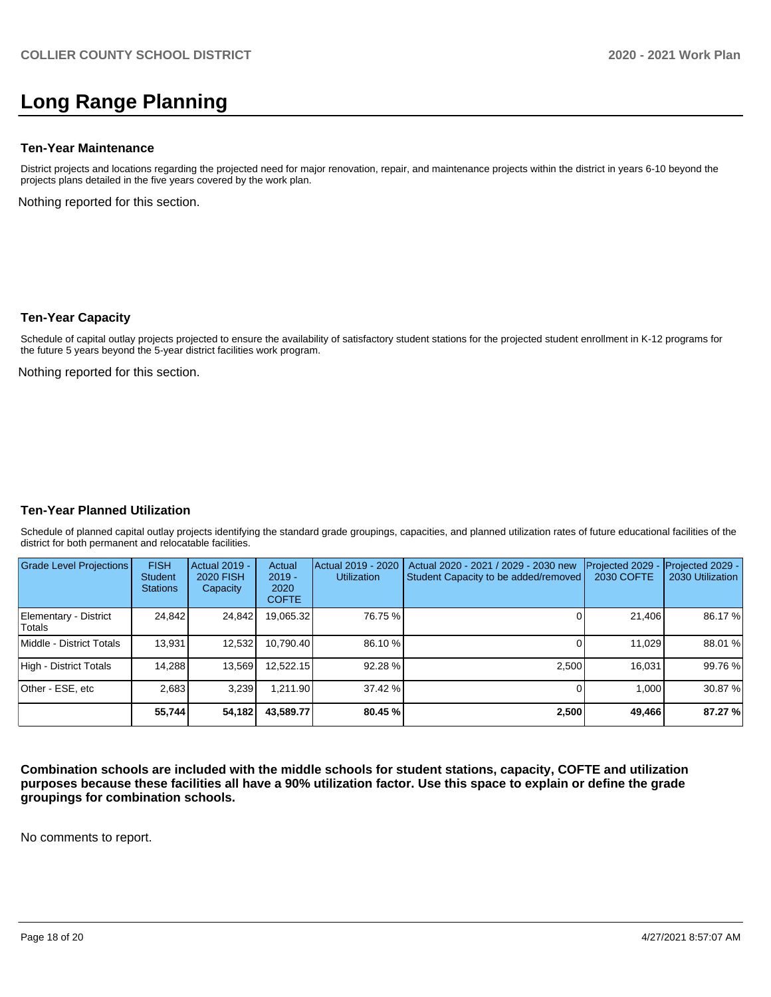# **Long Range Planning**

### **Ten-Year Maintenance**

District projects and locations regarding the projected need for major renovation, repair, and maintenance projects within the district in years 6-10 beyond the projects plans detailed in the five years covered by the work plan.

Nothing reported for this section.

### **Ten-Year Capacity**

Schedule of capital outlay projects projected to ensure the availability of satisfactory student stations for the projected student enrollment in K-12 programs for the future 5 years beyond the 5-year district facilities work program.

Nothing reported for this section.

### **Ten-Year Planned Utilization**

Schedule of planned capital outlay projects identifying the standard grade groupings, capacities, and planned utilization rates of future educational facilities of the district for both permanent and relocatable facilities.

| <b>Grade Level Projections</b>   | <b>FISH</b><br><b>Student</b><br><b>Stations</b> | Actual 2019 -<br><b>2020 FISH</b><br>Capacity | Actual<br>$2019 -$<br>2020<br><b>COFTE</b> | Actual 2019 - 2020<br><b>Utilization</b> | Actual 2020 - 2021 / 2029 - 2030 new<br>Student Capacity to be added/removed | Projected 2029<br>2030 COFTE | Projected 2029 -<br>2030 Utilization |
|----------------------------------|--------------------------------------------------|-----------------------------------------------|--------------------------------------------|------------------------------------------|------------------------------------------------------------------------------|------------------------------|--------------------------------------|
| Elementary - District<br>lTotals | 24,842                                           | 24,842                                        | 19,065.32                                  | 76.75 %                                  |                                                                              | 21,406                       | 86.17 %                              |
| Middle - District Totals         | 13,931                                           | 12,532                                        | 10.790.40                                  | 86.10 %                                  |                                                                              | 11.029                       | 88.01 %                              |
| High - District Totals           | 14,288                                           | 13,569                                        | 12.522.15                                  | 92.28 %                                  | 2.500                                                                        | 16.031                       | 99.76 %                              |
| Other - ESE, etc                 | 2.683                                            | 3.239                                         | 1.211.90                                   | 37.42 %                                  |                                                                              | 1.000                        | 30.87%                               |
|                                  | 55,744                                           | 54,182                                        | 43,589.77                                  | 80.45 %                                  | 2,500                                                                        | 49,466                       | 87.27 %                              |

**Combination schools are included with the middle schools for student stations, capacity, COFTE and utilization purposes because these facilities all have a 90% utilization factor. Use this space to explain or define the grade groupings for combination schools.** 

No comments to report.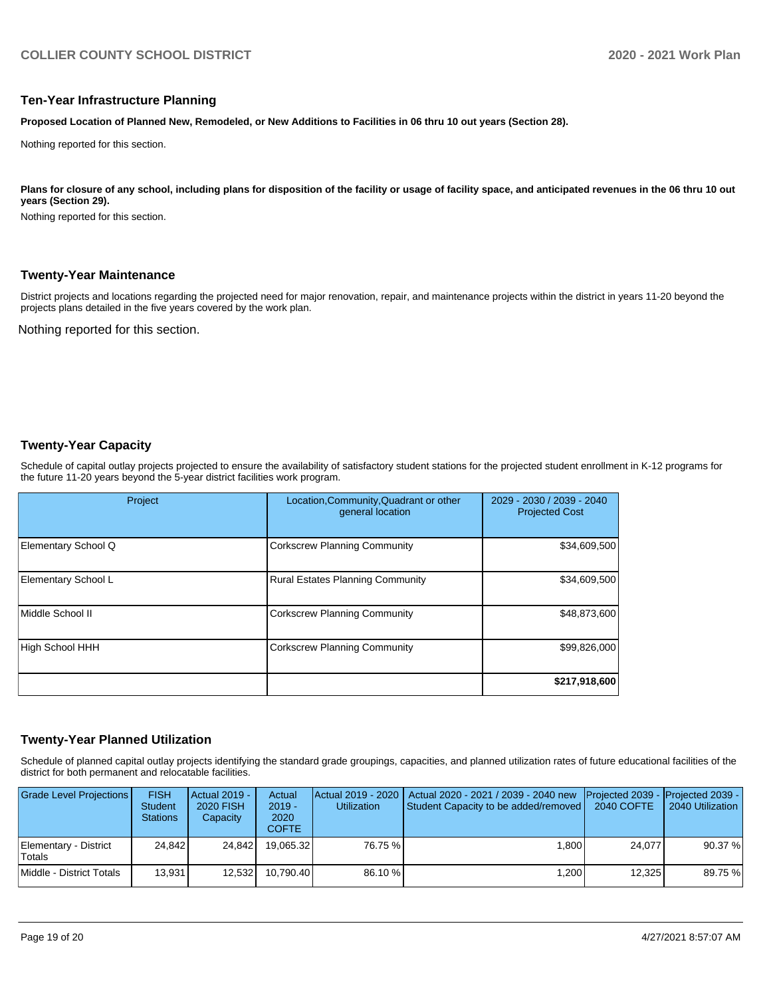#### **Ten-Year Infrastructure Planning**

**Proposed Location of Planned New, Remodeled, or New Additions to Facilities in 06 thru 10 out years (Section 28).**

Nothing reported for this section.

#### Plans for closure of any school, including plans for disposition of the facility or usage of facility space, and anticipated revenues in the 06 thru 10 out **years (Section 29).**

Nothing reported for this section.

#### **Twenty-Year Maintenance**

District projects and locations regarding the projected need for major renovation, repair, and maintenance projects within the district in years 11-20 beyond the projects plans detailed in the five years covered by the work plan.

Nothing reported for this section.

#### **Twenty-Year Capacity**

Schedule of capital outlay projects projected to ensure the availability of satisfactory student stations for the projected student enrollment in K-12 programs for the future 11-20 years beyond the 5-year district facilities work program.

| Project                | Location, Community, Quadrant or other<br>general location | 2029 - 2030 / 2039 - 2040<br><b>Projected Cost</b> |  |  |
|------------------------|------------------------------------------------------------|----------------------------------------------------|--|--|
| Elementary School Q    | <b>Corkscrew Planning Community</b>                        | \$34,609,500                                       |  |  |
| Elementary School L    | <b>Rural Estates Planning Community</b>                    | \$34,609,500                                       |  |  |
| Middle School II       | <b>Corkscrew Planning Community</b>                        | \$48,873,600                                       |  |  |
| <b>High School HHH</b> | <b>Corkscrew Planning Community</b>                        | \$99,826,000                                       |  |  |
|                        |                                                            | \$217,918,600                                      |  |  |

#### **Twenty-Year Planned Utilization**

Schedule of planned capital outlay projects identifying the standard grade groupings, capacities, and planned utilization rates of future educational facilities of the district for both permanent and relocatable facilities.

| <b>Grade Level Projections</b>         | <b>FISH</b><br><b>Student</b><br><b>Stations</b> | Actual 2019 -<br>2020 FISH<br>Capacity | Actual<br>$2019 -$<br>2020<br><b>COFTE</b> | <b>Utilization</b> | Actual 2019 - 2020   Actual 2020 - 2021 / 2039 - 2040 new<br>Student Capacity to be added/removed | Projected 2039 - Projected 2039 -<br>2040 COFTE | 2040 Utilization |
|----------------------------------------|--------------------------------------------------|----------------------------------------|--------------------------------------------|--------------------|---------------------------------------------------------------------------------------------------|-------------------------------------------------|------------------|
| Elementary - District<br><b>Totals</b> | 24.842                                           | 24.842                                 | 19.065.32                                  | 76.75 %            | 1.800                                                                                             | 24.077                                          | 90.37 %          |
| Middle - District Totals               | 13.931                                           | 12.532                                 | 10.790.40                                  | 86.10 %            | 1.200                                                                                             | 12.325                                          | 89.75 %          |